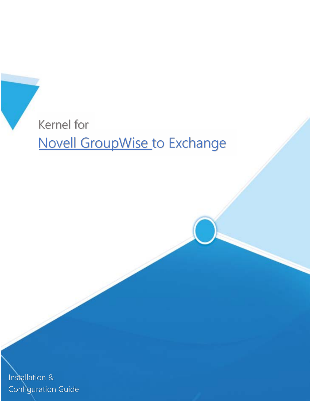# Kernel for Novell GroupWise to Exchange

Installation & Configuration Guide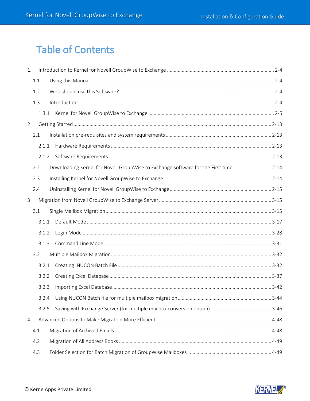## **Table of Contents**

| 1.             |     |       |                                                                                      |  |
|----------------|-----|-------|--------------------------------------------------------------------------------------|--|
|                | 1.1 |       |                                                                                      |  |
|                | 1.2 |       |                                                                                      |  |
|                | 1.3 |       |                                                                                      |  |
|                |     | 1.3.1 |                                                                                      |  |
| $\overline{2}$ |     |       |                                                                                      |  |
|                | 2.1 |       |                                                                                      |  |
|                |     | 2.1.1 |                                                                                      |  |
|                |     | 2.1.2 |                                                                                      |  |
|                | 2.2 |       | Downloading Kernel for Novell GroupWise to Exchange software for the First time 2-14 |  |
|                | 2.3 |       |                                                                                      |  |
|                | 2.4 |       |                                                                                      |  |
| $\mathsf{3}$   |     |       |                                                                                      |  |
|                | 3.1 |       |                                                                                      |  |
|                |     | 3.1.1 |                                                                                      |  |
|                |     | 3.1.2 |                                                                                      |  |
|                |     | 3.1.3 |                                                                                      |  |
|                | 3.2 |       |                                                                                      |  |
|                |     | 3.2.1 |                                                                                      |  |
|                |     | 3.2.2 |                                                                                      |  |
|                |     | 3.2.3 |                                                                                      |  |
|                |     | 3.2.4 |                                                                                      |  |
|                |     | 3.2.5 |                                                                                      |  |
| 4              |     |       |                                                                                      |  |
|                | 4.1 |       |                                                                                      |  |
|                | 4.2 |       |                                                                                      |  |
|                | 4.3 |       |                                                                                      |  |

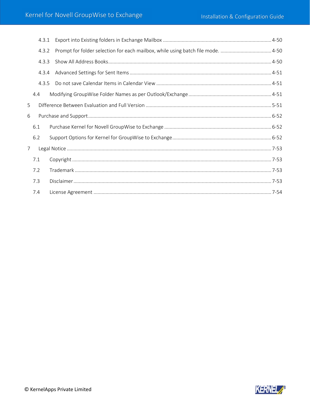|                | 4.3.1 |  |
|----------------|-------|--|
|                | 4.3.2 |  |
|                | 4.3.3 |  |
|                | 4.3.4 |  |
|                | 4.3.5 |  |
|                | 4.4   |  |
| 5              |       |  |
| 6              |       |  |
|                | 6.1   |  |
|                | 6.2   |  |
| $\overline{7}$ |       |  |
|                | 7.1   |  |
|                | 7.2   |  |
|                | 7.3   |  |
|                | 7.4   |  |
|                |       |  |

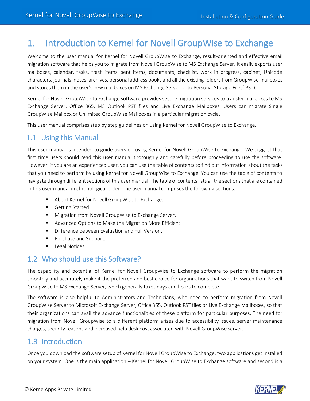## <span id="page-3-0"></span>1. Introduction to Kernel for Novell GroupWise to Exchange

Welcome to the user manual for Kernel for Novell GroupWise to Exchange, result-oriented and effective email migration software that helps you to migrate from Novell GroupWise to MS Exchange Server. It easily exports user mailboxes, calendar, tasks, trash items, sent items, documents, checklist, work in progress, cabinet, Unicode characters, journals, notes, archives, personal address books and all the existing folders from GroupWise mailboxes and stores them in the user's new mailboxes on MS Exchange Server or to Personal Storage Files(.PST).

Kernel for Novell GroupWise to Exchange software provides secure migration services to transfer mailboxes to MS Exchange Server, Office 365, MS Outlook PST files and Live Exchange Mailboxes. Users can migrate Single GroupWise Mailbox or Unlimited GroupWise Mailboxes in a particular migration cycle.

This user manual comprises step by step guidelines on using Kernel for Novell GroupWise to Exchange.

## <span id="page-3-1"></span>1.1 Using this Manual

This user manual is intended to guide users on using Kernel for Novell GroupWise to Exchange. We suggest that first time users should read this user manual thoroughly and carefully before proceeding to use the software. However, if you are an experienced user, you can use the table of contents to find out information about the tasks that you need to perform by using Kernel for Novell GroupWise to Exchange. You can use the table of contents to navigate through different sections of this user manual. The table of contents lists all the sections that are contained in this user manual in chronological order. The user manual comprises the following sections:

- About Kernel for Novell GroupWise to Exchange.
- Getting Started.
- Migration from Novell GroupWise to Exchange Server.
- Advanced Options to Make the Migration More Efficient.
- Difference between Evaluation and Full Version.
- Purchase and Support.
- Legal Notices.

## <span id="page-3-2"></span>1.2 Who should use this Software?

The capability and potential of Kernel for Novell GroupWise to Exchange software to perform the migration smoothly and accurately make it the preferred and best choice for organizations that want to switch from Novell GroupWise to MS Exchange Server, which generally takes days and hours to complete.

The software is also helpful to Administrators and Technicians, who need to perform migration from Novell GroupWise Server to Microsoft Exchange Server, Office 365, Outlook PST files or Live Exchange Mailboxes, so that their organizations can avail the advance functionalities of these platform for particular purposes. The need for migration from Novell GroupWise to a different platform arises due to accessibility issues, server maintenance charges, security reasons and increased help desk cost associated with Novell GroupWise server.

## <span id="page-3-3"></span>1.3 Introduction

Once you download the software setup of Kernel for Novell GroupWise to Exchange, two applications get installed on your system. One is the main application – Kernel for Novell GroupWise to Exchange software and second is a

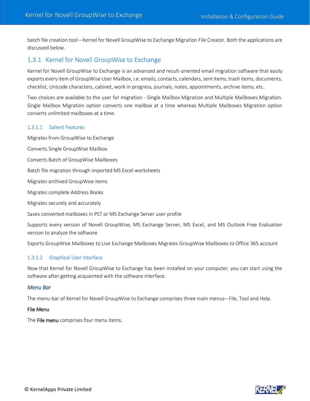batch file creation tool – Kernel for Novell GroupWise to Exchange Migration File Creator. Both the applications are discussed below.

## <span id="page-4-0"></span>1.3.1 Kernel for Novell GroupWise to Exchange

Kernel for Novell GroupWise to Exchange is an advanced and result-oriented email migration software that easily exports every item of GroupWise User Mailbox, i.e. emails, contacts, calendars, sent items, trash items, documents, checklist, Unicode characters, cabinet, work in progress, journals, notes, appointments, archive items, etc.

Two choices are available to the user for migration - Single Mailbox Migration and Multiple Mailboxes Migration. Single Mailbox Migration option converts one mailbox at a time whereas Multiple Mailboxes Migration option converts unlimited mailboxes at a time.

## 1.3.1.1 Salient Features

Migrates from GroupWise to Exchange

Converts Single GroupWise Mailbox

Converts Batch of GroupWise Mailboxes

Batch file migration through imported MS Excel worksheets

Migrates archived GroupWise items

Migrates complete Address Books

Migrates securely and accurately

Saves converted mailboxes in PST or MS Exchange Server user profile

Supports every version of Novell GroupWise, MS Exchange Server, MS Excel, and MS Outlook Free Evaluation version to analyze the software

Exports GroupWise Mailboxes to Live Exchange Mailboxes Migrates GroupWise Mailboxes to Office 365 account

## 1.3.1.2 Graphical User Interface

Now that Kernel for Novell GroupWise to Exchange has been installed on your computer, you can start using the software after getting acquainted with the software interface.

## *Menu Bar*

The menu-bar of Kernel for Novell GroupWise to Exchange comprises three main menus– File, Tool and Help.

#### File Menu

The File menu comprises four menu items.

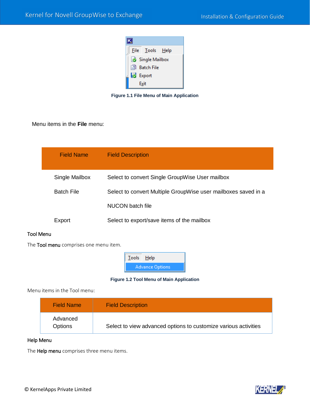

**Figure 1.1 File Menu of Main Application** 

## Menu items in the **File** menu:

| <b>Field Name</b> | <b>Field Description</b>                                       |
|-------------------|----------------------------------------------------------------|
| Single Mailbox    | Select to convert Single GroupWise User mailbox                |
| <b>Batch File</b> | Select to convert Multiple GroupWise user mailboxes saved in a |
|                   | NUCON batch file                                               |
| Export            | Select to export/save items of the mailbox                     |

## Tool Menu

The Tool menu comprises one menu item.



**Figure 1.2 Tool Menu of Main Application**

Menu items in the Tool menu:

| <b>Field Name</b>          | <b>Field Description</b>                                        |
|----------------------------|-----------------------------------------------------------------|
| Advanced<br><b>Options</b> | Select to view advanced options to customize various activities |

## Help Menu

The **Help menu** comprises three menu items.

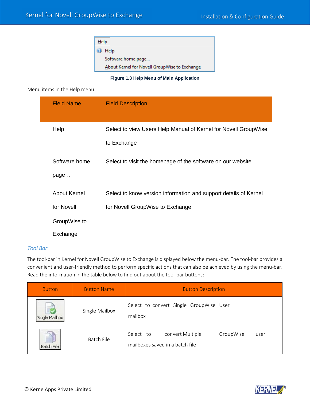| $He$ lp                                       |  |
|-----------------------------------------------|--|
| Help<br>O                                     |  |
| Software home page                            |  |
| About Kernel for Novell GroupWise to Exchange |  |

#### **Figure 1.3 Help Menu of Main Application**

## Menu items in the Help menu:

| <b>Field Name</b> | <b>Field Description</b>                                         |
|-------------------|------------------------------------------------------------------|
| Help              | Select to view Users Help Manual of Kernel for Novell Group Wise |
|                   | to Exchange                                                      |
| Software home     | Select to visit the homepage of the software on our website      |
| page              |                                                                  |
| About Kernel      | Select to know version information and support details of Kernel |
| for Novell        | for Novell GroupWise to Exchange                                 |
| GroupWise to      |                                                                  |
| Exchange          |                                                                  |

## *Tool Bar*

The tool-bar in Kernel for Novell GroupWise to Exchange is displayed below the menu-bar. The tool-bar provides a convenient and user-friendly method to perform specific actions that can also be achieved by using the menu-bar. Read the information in the table below to find out about the tool-bar buttons:

| <b>Button</b>  | <b>Button Name</b> | <b>Button Description</b>                                                             |
|----------------|--------------------|---------------------------------------------------------------------------------------|
| Single Mailbox | Single Mailbox     | Select to convert Single GroupWise User<br>mailbox                                    |
| Batch File     | Batch File         | Select to<br>convert Multiple<br>GroupWise<br>user<br>mailboxes saved in a batch file |

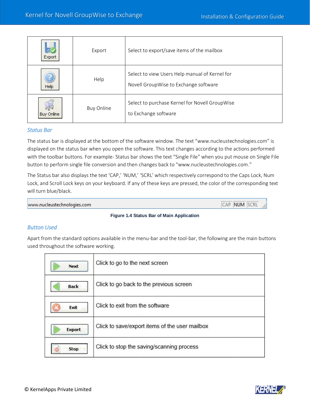| Export     | Export     | Select to export/save items of the mailbox                                              |
|------------|------------|-----------------------------------------------------------------------------------------|
| Help       | Help       | Select to view Users Help manual of Kernel for<br>Novell GroupWise to Exchange software |
| Buy Online | Buy Online | Select to purchase Kernel for Novell GroupWise<br>to Exchange software                  |

## *Status Bar*

The status bar is displayed at the bottom of the software window. The text "www.nucleustechnologies.com" is displayed on the status bar when you open the software. This text changes according to the actions performed with the toolbar buttons. For example- Status bar shows the text "Single File" when you put mouse on Single File button to perform single file conversion and then changes back to "www.nucleustechnologies.com."

The Status bar also displays the text 'CAP,' 'NUM,' 'SCRL' which respectively correspond to the Caps Lock, Num Lock, and Scroll Lock keys on your keyboard. If any of these keys are pressed, the color of the corresponding text will turn blue/black.

| www.nucleustechnologies.com | <b>CAP</b> | NUM SCRL |  |
|-----------------------------|------------|----------|--|

## **Figure 1.4 Status Bar of Main Application**

## *Button Used*

Apart from the standard options available in the menu-bar and the tool-bar, the following are the main buttons used throughout the software working.

| <b>Next</b>   | Click to go to the next screen                 |  |
|---------------|------------------------------------------------|--|
| <b>Back</b>   | Click to go back to the previous screen        |  |
| Exit          | Click to exit from the software                |  |
| <b>Export</b> | Click to save/export items of the user mailbox |  |
| <b>Stop</b>   | Click to stop the saving/scanning process      |  |

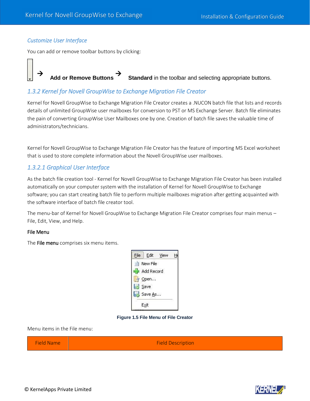## *Customize User Interface*

You can add or remove toolbar buttons by clicking:

## Add or Remove Buttons → Standard in the toolbar and selecting appropriate buttons.

## *1.3.2 Kernel for Novell GroupWise to Exchange Migration File Creator*

Kernel for Novell GroupWise to Exchange Migration File Creator creates a .NUCON batch file that lists and records details of unlimited GroupWise user mailboxes for conversion to PST or MS Exchange Server. Batch file eliminates the pain of converting GroupWise User Mailboxes one by one. Creation of batch file saves the valuable time of administrators/technicians.

Kernel for Novell GroupWise to Exchange Migration File Creator has the feature of importing MS Excel worksheet that is used to store complete information about the Novell GroupWise user mailboxes.

## *1.3.2.1 Graphical User Interface*

As the batch file creation tool - Kernel for Novell GroupWise to Exchange Migration File Creator has been installed automatically on your computer system with the installation of Kernel for Novell GroupWise to Exchange software; you can start creating batch file to perform multiple mailboxes migration after getting acquainted with the software interface of batch file creator tool.

The menu-bar of Kernel for Novell GroupWise to Exchange Migration File Creator comprises four main menus – File, Edit, View, and Help.

## File Menu

The **File menu** comprises six menu items.



**Figure 1.5 File Menu of File Creator**

#### Menu items in the File menu:

| Field Name | <b>Field Description</b> |
|------------|--------------------------|
|------------|--------------------------|

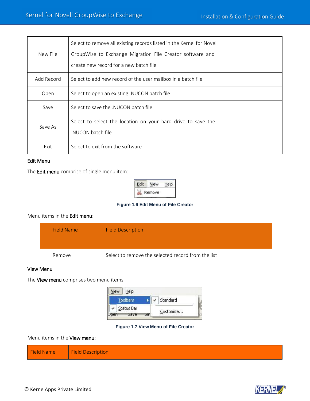|            | Select to remove all existing records listed in the Kernel for Novell |
|------------|-----------------------------------------------------------------------|
| New File   | GroupWise to Exchange Migration File Creator software and             |
|            | create new record for a new batch file                                |
| Add Record | Select to add new record of the user mailbox in a batch file          |
| Open       | Select to open an existing .NUCON batch file                          |
| Save       | Select to save the .NUCON batch file                                  |
|            | Select to select the location on your hard drive to save the          |
| Save As    | NUCON batch file                                                      |
| Exit       | Select to exit from the software                                      |

#### Edit Menu

The Edit menu comprise of single menu item:

| emove |  |
|-------|--|

#### **Figure 1.6 Edit Menu of File Creator**

#### Menu items in the Edit menu:

| <b>Field Name</b> | <b>Field Description</b>                           |
|-------------------|----------------------------------------------------|
| Remove            | Select to remove the selected record from the list |

### View Menu

The View menu comprises two menu items.

| View | Help                    |     |           |  |
|------|-------------------------|-----|-----------|--|
|      | Toolbars                |     | Standard  |  |
|      | $\checkmark$ Status Bar |     | Customize |  |
| open | pave                    | יפכ |           |  |



## Menu items in the View menu:

| <b>Field Name</b> | Field Description |
|-------------------|-------------------|
|-------------------|-------------------|

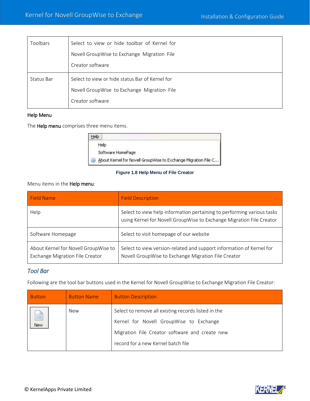| <b>Toolbars</b> | Select to view or hide toolbar of Kernel for    |
|-----------------|-------------------------------------------------|
|                 | Novell GroupWise to Exchange Migration File     |
|                 | Creator software                                |
| Status Bar      | Select to view or hide status Bar of Kernel for |
|                 | Novell GroupWise to Exchange Migration File     |
|                 | Creator software                                |

## Help Menu

The Help menu comprises three menu items.

| teic |                                                                |
|------|----------------------------------------------------------------|
|      | Help                                                           |
|      | Software HomePage                                              |
|      | About Kernel for Novell GroupWise to Exchange Migration File C |

## **Figure 1.8 Help Menu of File Creator**

## Menu items in the Help menu:

| <b>Field Name</b>                                                       | <b>Field Description</b>                                                                                                                       |
|-------------------------------------------------------------------------|------------------------------------------------------------------------------------------------------------------------------------------------|
| Help                                                                    | Select to view help information pertaining to performing various tasks<br>using Kernel for Novell GroupWise to Exchange Migration File Creator |
| Software Homepage                                                       | Select to visit homepage of our website                                                                                                        |
| About Kernel for Novell GroupWise to<br>Exchange Migration File Creator | Select to view version-related and support information of Kernel for<br>Novell GroupWise to Exchange Migration File Creator                    |

## *Tool Bar*

Following are the tool bar buttons used in the Kernel for Novell GroupWise to Exchange Migration File Creator:

| <b>Button</b> | <b>Button Name</b> | <b>Button Description</b>                                                                                                                                                              |
|---------------|--------------------|----------------------------------------------------------------------------------------------------------------------------------------------------------------------------------------|
| <b>New</b>    | <b>New</b>         | Select to remove all existing records listed in the<br>Kernel for Novell GroupWise to Exchange<br>Migration File Creator software and create new<br>record for a new Kernel batch file |

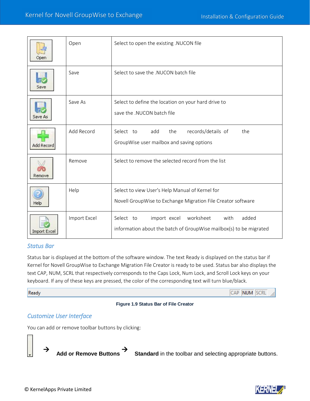| ⊃pen                | Open         | Select to open the existing .NUCON file                                                                                       |
|---------------------|--------------|-------------------------------------------------------------------------------------------------------------------------------|
| Save                | Save         | Select to save the .NUCON batch file                                                                                          |
| Save As             | Save As      | Select to define the location on your hard drive to<br>save the .NUCON batch file                                             |
| Add Record          | Add Record   | Select to<br>add<br>the<br>records/details of<br>the<br>GroupWise user mailbox and saving options                             |
| Remove              | Remove       | Select to remove the selected record from the list                                                                            |
| Help                | Help         | Select to view User's Help Manual of Kernel for<br>Novell GroupWise to Exchange Migration File Creator software               |
| <b>Import Excel</b> | Import Excel | Select to<br>worksheet<br>added<br>import excel<br>with<br>information about the batch of GroupWise mailbox(s) to be migrated |

## *Status Bar*

Status bar is displayed at the bottom of the software window. The text Ready is displayed on the status bar if Kernel for Novell GroupWise to Exchange Migration File Creator is ready to be used. Status bar also displays the text CAP, NUM, SCRL that respectively corresponds to the Caps Lock, Num Lock, and Scroll Lock keys on your keyboard. If any of these keys are pressed, the color of the corresponding text will turn blue/black.

CAP NUM SCRL

#### **Figure 1.9 Status Bar of File Creator**

## *Customize User Interface*

You can add or remove toolbar buttons by clicking:



Add or Remove Buttons <sup>→</sup> Standard in the toolbar and selecting appropriate buttons.

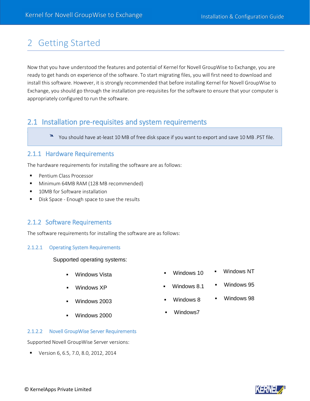## <span id="page-12-0"></span>2 Getting Started

Now that you have understood the features and potential of Kernel for Novell GroupWise to Exchange, you are ready to get hands on experience of the software. To start migrating files, you will first need to download and install this software. However, it is strongly recommended that before installing Kernel for Novell GroupWise to Exchange, you should go through the installation pre-requisites for the software to ensure that your computer is appropriately configured to run the software.

## <span id="page-12-1"></span>2.1 Installation pre-requisites and system requirements

**EXERNE The Vernel for Servell For A**<br> **EXECORD MISS AND AND SET FILE.** To Manage of the broadly can be broadly can be be broadly PST file. classified into two major categories – Hardware requirements and Software requirements.

## <span id="page-12-2"></span>2.1.1 Hardware Requirements

The hardware requirements for installing the software are as follows:

- Pentium Class Processor
- Minimum 64MB RAM (128 MB recommended)
- 10MB for Software installation
- Disk Space Enough space to save the results

## <span id="page-12-3"></span>2.1.2 Software Requirements

The software requirements for installing the software are as follows:

## 2.1.2.1 Operating System Requirements

Supported operating systems:

- 
- 
- 
- Windows 2000 **•** Windows7
- Windows Vista **•** Windows 10 **•** Windows NT
- Windows XP Windows 8.1 Windows 95
	- Windows 2003 **•** Windows 8 **•** Windows 98
		-
- 2.1.2.2 Novell GroupWise Server Requirements

Supported Novell GroupWise Server versions:

■ Version 6, 6.5, 7.0, 8.0, 2012, 2014

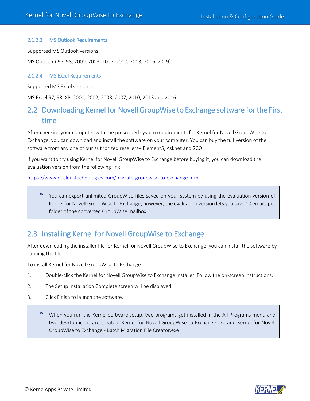## 2.1.2.3 MS Outlook Requirements

Supported MS Outlook versions

MS Outlook ( 97, 98, 2000, 2003, 2007, 2010, 2013, 2016, 2019).

### 2.1.2.4 MS Excel Requirements

Supported MS Excel versions:

MS Excel 97, 98, XP, 2000, 2002, 2003, 2007, 2010, 2013 and 2016

## <span id="page-13-0"></span>2.2 Downloading Kernel for Novell GroupWise to Exchange software for the First time

After checking your computer with the prescribed system requirements for Kernel for Novell GroupWise to Exchange, you can download and install the software on your computer. You can buy the full version of the software from any one of our authorized resellers– Element5, Asknet and 2CO.

If you want to try using Kernel for Novell GroupWise to Exchange before buying it, you can download the evaluation version from the following link:

#### <https://www.nucleustechnologies.com/migrate-groupwise-to-exchange.html>

 You can export unlimited GroupWise files saved on your system by using the evaluation version of Kernel for Novell GroupWise to Exchange; however, the evaluation version lets you save 10 emails per folder of the converted GroupWise mailbox.

## <span id="page-13-1"></span>2.3 Installing Kernel for Novell GroupWise to Exchange

After downloading the installer file for Kernel for Novell GroupWise to Exchange, you can install the software by running the file.

To install Kernel for Novell GroupWise to Exchange:

- 1. Double-click the Kernel for Novell GroupWise to Exchange installer. Follow the on-screen instructions.
- 2. The Setup Installation Complete screen will be displayed.
- 3. Click Finish to launch the software.

When you run the Kernel software setup, two programs get installed in the All Programs menu and two desktop icons are created: Kernel for Novell GroupWise to Exchange.exe and Kernel for Novell GroupWise to Exchange - Batch Migration File Creator.exe

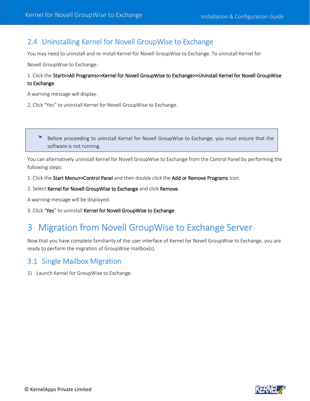## <span id="page-14-0"></span>2.4 Uninstalling Kernel for Novell GroupWise to Exchange

You may need to uninstall and re-install Kernel for Novell GroupWise to Exchange. To uninstall Kernel for

Novell GroupWise to Exchange:

## 1. Click the Start>>All Programs>>Kernel for Novell GroupWise to Exchange>>Uninstall Kernel for Novell GroupWise to Exchange.

A warning message will display.

2. Click "Yes" to uninstall Kernel for Novell GroupWise to Exchange.

Before proceeding to uninstall Kernel for Novell GroupWise to Exchange, you must ensure that the software is not running.

You can alternatively uninstall Kernel for Novell GroupWise to Exchange from the Control Panel by performing the following steps:

1. Click the Start Menu>>Control Panel and then double click the Add or Remove Programs icon.

2. Select Kernel for Novell GroupWise to Exchange and click Remove.

A warning message will be displayed.

3. Click "Yes" to uninstall Kernel for Novell GroupWise to Exchange.

## <span id="page-14-1"></span>3 Migration from Novell GroupWise to Exchange Server

Now that you have complete familiarity of the user interface of Kernel for Novell GroupWise to Exchange, you are ready to perform the migration of GroupWise mailbox(s).

## <span id="page-14-2"></span>3.1 Single Mailbox Migration

1) Launch Kernel for GroupWise to Exchange.

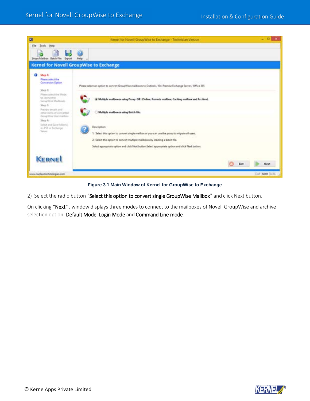

**Figure 3.1 Main Window of Kernel for GroupWise to Exchange**

2) Select the radio button "Select this option to convert single GroupWise Mailbox" and click Next button.

On clicking "Next" , window displays three modes to connect to the mailboxes of Novell GroupWise and archive selection option: Default Mode, Login Mode and Command Line mode.

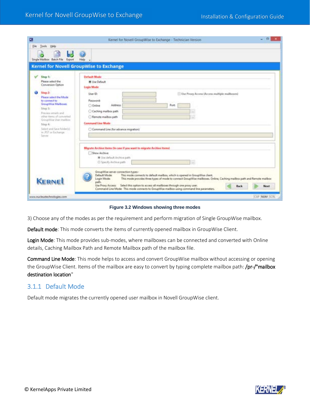| 図                                                                                                                                                                                                                              | Kernel for Novell GroupWise to Exchange - Technician Version                                                                                                                                                                                                                                                                                                                                                                                                                     | $ -$<br>$-1$    |
|--------------------------------------------------------------------------------------------------------------------------------------------------------------------------------------------------------------------------------|----------------------------------------------------------------------------------------------------------------------------------------------------------------------------------------------------------------------------------------------------------------------------------------------------------------------------------------------------------------------------------------------------------------------------------------------------------------------------------|-----------------|
| Ele<br>Tools.<br>Help<br>Single Mailbox Batch File<br>Export                                                                                                                                                                   | <b>Kernel for Novell GroupWise to Exchange</b>                                                                                                                                                                                                                                                                                                                                                                                                                                   |                 |
| Step 1:<br>Please select the<br>Conversion Option<br>o<br>$Step 2$ :                                                                                                                                                           | <b>Default Mode</b><br>W Use Default<br><b>Login Mode</b><br>User ID:<br>Use Proxy Access (Access multiple malboxed)                                                                                                                                                                                                                                                                                                                                                             |                 |
| Please salest the Mode<br>to connect to<br>GroupWise Malbours<br>Step 3:<br>Frayies emails and<br>other items of concerted<br>GroupWise User maillies<br>Step 4:<br>Salect and Sava falderful<br>in JST in Enthange<br>Service | Passworth<br>Address<br>Fort:<br>C Online<br>C Caching mailbox path<br>$\sim$<br>C Remote mailbox path<br>Command Line Mode<br>C Command Line (for advance migration)                                                                                                                                                                                                                                                                                                            |                 |
|                                                                                                                                                                                                                                | Migrate Archive items On case if you want to migrate Archive items)<br>Show Archive<br>W Use default Archive path<br>C Specify Archive path                                                                                                                                                                                                                                                                                                                                      |                 |
| KERNEL                                                                                                                                                                                                                         | GroupWoe server connection types-<br>Default Mode:<br>This mode connects to default mailbox, which is opened in GroupWise client.<br>This mode provides three types of mode to connect GroupWise mailboxes. Online, Caching mailbox path and Remote mailbox<br>Login Mode:<br>puth.<br>Use Proxy Access: Select this option to access all mailboxes through one proxy user.<br>Back<br>Command Line Mode: This mode connects to GroupWise mailbox using command line parameters. | Next            |
| www.nucleustechnologies.com                                                                                                                                                                                                    |                                                                                                                                                                                                                                                                                                                                                                                                                                                                                  | ICAP INDM ISCEL |

**Figure 3.2 Windows showing three modes**

3) Choose any of the modes as per the requirement and perform migration of Single GroupWise mailbox.

Default mode: This mode converts the items of currently opened mailbox in GroupWise Client.

Login Mode: This mode provides sub-modes, where mailboxes can be connected and converted with Online details, Caching Mailbox Path and Remote Mailbox path of the mailbox file.

Command Line Mode: This mode helps to access and convert GroupWise mailbox without accessing or opening the GroupWise Client. Items of the mailbox are easy to convert by typing complete mailbox path: /pr-/"mailbox destination location"

## <span id="page-16-0"></span>3.1.1 Default Mode

Default mode migrates the currently opened user mailbox in Novell GroupWise client.

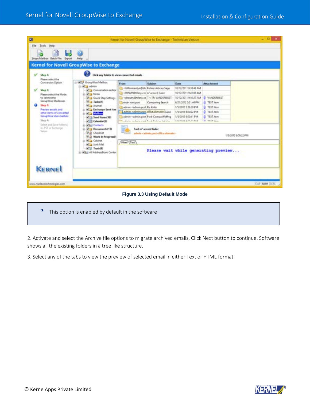| Sngle Mailbox Betch File Export<br>v                                                                                                                                                                                                                                                                                                                                                                                                                                                                                                                                                                                                                                                                                                                                                                                                  | Help .<br>Kernel for Novell GroupWise to Exchange                                                                                                                                                                           |                                                                                                                                                                                                                                 |                                                                                                                                                                                                                                                                                                                                                            |                                                                                                                                 |                    |  |
|---------------------------------------------------------------------------------------------------------------------------------------------------------------------------------------------------------------------------------------------------------------------------------------------------------------------------------------------------------------------------------------------------------------------------------------------------------------------------------------------------------------------------------------------------------------------------------------------------------------------------------------------------------------------------------------------------------------------------------------------------------------------------------------------------------------------------------------|-----------------------------------------------------------------------------------------------------------------------------------------------------------------------------------------------------------------------------|---------------------------------------------------------------------------------------------------------------------------------------------------------------------------------------------------------------------------------|------------------------------------------------------------------------------------------------------------------------------------------------------------------------------------------------------------------------------------------------------------------------------------------------------------------------------------------------------------|---------------------------------------------------------------------------------------------------------------------------------|--------------------|--|
| Click any folder to view converted emails.<br>Step ti<br>Figure select the<br>EL 1757 GroupWas Malbox<br>Conversion Option<br>D. William admin.<br><b>Conversation Action</b><br>Step 2:<br>il Milleton<br>Please select the Mode<br>to connect to<br><b>The Coack Step Settings</b><br><b>GroupWise Mailboxes</b><br><b>Carl Tasks(3)</b><br>Step 3:<br>o<br><b>William</b> Journal<br>President entails and<br>- Villa Enchange Sent Iter<br>other items of converted<br>is of the Malbox<br>GroupWiss User mailbox<br>- Sent Royal 101<br>Step 4:<br>Calendar(1)<br>Select and Save fulder(2)<br><b>Wall Contacts</b><br>in PST or Exchange<br>11 Villa Decements(10)<br>Setum<br>Call Checklet<br>V. 3 Work In Progress 1<br>11-14 Cabinet<br><b>Mary Junk Mail</b><br><b>DIGIT Trashilli</b><br>2) FIEL All Address Rook Contact | Extent<br>- GMunnertyn@tifu Fichier Articles Sage<br>-Hillself@silany.cor. n" accord Galec<br>hoststoot.pod<br>admin radmin.post Re khkk<br>The studio in starts were first finition trainful.<br><b><i>Phone Class</i></b> | Subject<br>Comparing Search<br>admin <admin.port.office.domain> Galac<br/>admin <admin.post compatifulting<br="" fed:="">Find: in" accord Galec<br/>admin cadmin.post office.domain&gt;</admin.post></admin.port.office.domain> | Date<br>10/12/2011 9:38:43 AM<br>10/13/2011 9-41-06 AM<br>- <cboutry@tifany.co -="" 10="" 12="" 2011="" 9:50:27="" :="" am<br="" tr="" tr:="" vanderbiest="">6/21/2012 5:31-64 PM<br/>1/5/2015 5:56:00 PM<br/>1/5/2015 6:00:22 PM<br/>1/5/2015 6:00:41 PM<br/><b>END PROFILE GLACIER REAL</b><br/>Please wait while generating preview</cboutry@tifany.co> | <b>Attachment</b><br>VANDERBIEST<br><b>Q</b> TECLMen<br>G TEXT.Hm<br><b>B</b> TEXT.htm<br><b>GLEXT MAN</b><br><b>O</b> HAVE LAW | US/2015 6:00:22 PM |  |
| KERNEL                                                                                                                                                                                                                                                                                                                                                                                                                                                                                                                                                                                                                                                                                                                                                                                                                                |                                                                                                                                                                                                                             |                                                                                                                                                                                                                                 |                                                                                                                                                                                                                                                                                                                                                            |                                                                                                                                 |                    |  |

#### **Figure 3.3 Using Default Mode**

 $\lambda$  This option is enabled by default in the software

2. Activate and select the Archive file options to migrate archived emails. Click Next button to continue. Software shows all the existing folders in a tree like structure.

3. Select any of the tabs to view the preview of selected email in either Text or HTML format.

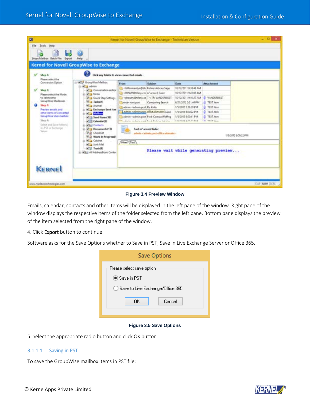| Snight Mailbox Batch File Export<br>v<br>Step 1:                                                                                                                                                                                                                                               | Help.<br><b>Kernel for Novell GroupWise to Exchange</b><br>Click any fulder to view converted emails.                                                                                                                                                                                                                                                                                                                                   |                                                                                                                                                                                                                                                                                                                  |                                                                                                                                                         |                                                                                                                                                                                                                                                     |                                                                                                                               |                    |
|------------------------------------------------------------------------------------------------------------------------------------------------------------------------------------------------------------------------------------------------------------------------------------------------|-----------------------------------------------------------------------------------------------------------------------------------------------------------------------------------------------------------------------------------------------------------------------------------------------------------------------------------------------------------------------------------------------------------------------------------------|------------------------------------------------------------------------------------------------------------------------------------------------------------------------------------------------------------------------------------------------------------------------------------------------------------------|---------------------------------------------------------------------------------------------------------------------------------------------------------|-----------------------------------------------------------------------------------------------------------------------------------------------------------------------------------------------------------------------------------------------------|-------------------------------------------------------------------------------------------------------------------------------|--------------------|
| Figure select the<br>Conversion Option<br>Step 2:<br>Please select the Mode<br>to connect to<br><b>GroupWise Mailboxes</b><br>s3<br>Step 3:<br>Preciew entails and<br>other hang of converted<br>GroupWiss User mailbox<br>Step 4:<br>Select and Save fulder(2)<br>in PST or Exchange<br>Setum | EL 1757 GroupWat Malbox<br>D. Philadelphia<br>Conversation Action<br>il Film Notes<br>Filling Council Step Settings<br><b>Carl Tasks(5)</b><br><b>William</b> Journal<br>- Villa Enchange Sent Iter<br>in William Madhean<br><b>WELL Sent Remat 101</b><br>$\mathcal{F}$ Calendar(1)<br>in 17161 Contacts<br>11 Villa Documents(10)<br>Checklet<br>V. 3 Work In Progress 1<br>11-14 Cabinet<br><b>Mark Mail</b><br><b>WED Trashilli</b> | Essiere<br>- Glutumentyn@tils Fichier Articles Sage<br>-Hillself@tifany.cor. n" accord Galec<br>Treat-rest.pod<br>admin radmin.post Re khkk<br>admin <admin.post compatifulting<br="" fed:="">The study in their work from Colting training<br/><math>-</math><br/><b><i><u>Wheel Class</u></i></b></admin.post> | Subject<br>Comparing Search<br>admin <admin.port office.domain=""> Galac<br/>Find: nº accord Galec<br/>admin cadmin.post office.domain&gt;</admin.port> | Date<br>10/12/2011 9:38:43 AM<br>10/13/2011 9-41-06 AM<br>10/12/2011 0:50:27 AM<br>6/21/2012 5:31-64 PM<br>1/5/2015 5:56:00 PM<br>1/5/2015 6:00:22 PM<br>1/5/2015 6:00:41 PM<br><b>END PANEL CAN AR REA</b><br>Please wait while generating preview | <b>Attachment</b><br><b>II</b> VANDERBIEST<br><b>Q</b> TEXTJAN<br>G TEXT Men<br><b>Q</b> TEXT.htm<br>G. TEXT Jane<br>O HOWELL | US/2015 6:00:22 PM |
| KERNEL                                                                                                                                                                                                                                                                                         | 2) William All Address Rook Contact                                                                                                                                                                                                                                                                                                                                                                                                     |                                                                                                                                                                                                                                                                                                                  |                                                                                                                                                         |                                                                                                                                                                                                                                                     |                                                                                                                               |                    |

#### **Figure 3.4 Preview Window**

Emails, calendar, contacts and other items will be displayed in the left pane of the window. Right pane of the window displays the respective items of the folder selected from the left pane. Bottom pane displays the preview of the item selected from the right pane of the window.

4. Click Export button to continue.

Software asks for the Save Options whether to Save in PST, Save in Live Exchange Server or Office 365.

| <b>Save Options</b>                |
|------------------------------------|
| Please select save option          |
| ◉ Save in PST                      |
| ◯ Save to Live Exchange/Office 365 |
| Cancel<br>OΚ                       |

#### **Figure 3.5 Save Options**

5. Select the appropriate radio button and click OK button.

#### 3.1.1.1 Saving in PST

To save the GroupWise mailbox items in PST file:

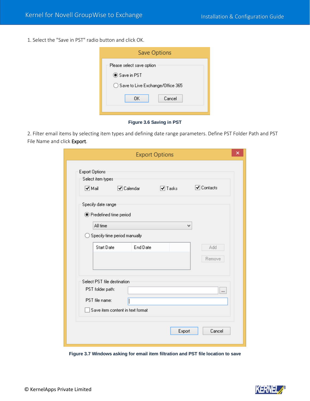1. Select the "Save in PST" radio button and click OK.

| <b>Save Options</b>                |
|------------------------------------|
| Please select save option          |
| ◉ Save in PST                      |
| ◯ Save to Live Exchange/Office 365 |
| Cancel<br>ΩK                       |

**Figure 3.6 Saving in PST**

2. Filter email items by selecting item types and defining date range parameters. Define PST Folder Path and PST File Name and click Export.

|                                      |                                       | <b>Export Options</b> |                  |
|--------------------------------------|---------------------------------------|-----------------------|------------------|
| <b>Export Options</b>                |                                       |                       |                  |
| Select item types:                   |                                       |                       |                  |
| $\overline{\blacktriangledown}$ Mail | $\boxed{\blacktriangledown}$ Calendar | $\sqrt{ }$ Tasks      | √ Contacts       |
| Specify date range                   |                                       |                       |                  |
| ● Predefined time period             |                                       |                       |                  |
| All time                             |                                       |                       |                  |
|                                      |                                       |                       |                  |
|                                      | Specify time period manually          |                       |                  |
| Start Date                           | End Date                              |                       | Add              |
|                                      |                                       |                       | Remove           |
|                                      |                                       |                       |                  |
|                                      |                                       |                       |                  |
| Select PST file destination          |                                       |                       |                  |
| PST folder path:                     |                                       |                       | m                |
| PST file name:                       |                                       |                       |                  |
|                                      | Save item content in text format      |                       |                  |
|                                      |                                       |                       |                  |
|                                      |                                       |                       | Cancel<br>Export |
|                                      |                                       |                       |                  |

**Figure 3.7 Windows asking for email item filtration and PST file location to save**

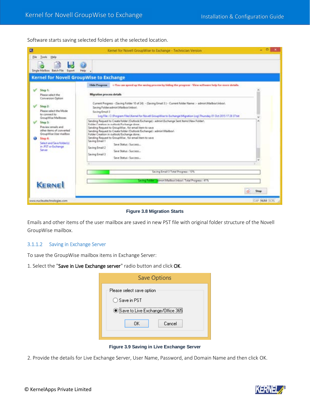Software starts saving selected folders at the selected location.

| 匯                                                                                                                                                               | Kernel for Novell GroupWise to Exchange - Technician Version                                                                                                                                                                                                                                                                                                                                                                                                                                                     | $ -$<br>×    |
|-----------------------------------------------------------------------------------------------------------------------------------------------------------------|------------------------------------------------------------------------------------------------------------------------------------------------------------------------------------------------------------------------------------------------------------------------------------------------------------------------------------------------------------------------------------------------------------------------------------------------------------------------------------------------------------------|--------------|
| Ele Tools Help                                                                                                                                                  |                                                                                                                                                                                                                                                                                                                                                                                                                                                                                                                  |              |
| Single Mailbox Batch File Export                                                                                                                                | ω<br>Help                                                                                                                                                                                                                                                                                                                                                                                                                                                                                                        |              |
|                                                                                                                                                                 | <b>Kernel for Novell GroupWise to Exchange</b>                                                                                                                                                                                                                                                                                                                                                                                                                                                                   |              |
| Step 1:<br>Please select the<br>Conversion Option<br>$Step 2$ :<br>Please select the Mode<br>to connect to<br>GroupWrse Mailboxes                               | <b>Hide Progress</b><br>< You can speed up the saving process by fiding the progress - View software help for more details.<br><b>Migration process details</b><br>Current Progress - (Seving Folder 10 of 24) - (Seving Email 3) - Current folder Name: - admin/Mailbox/Jnbox).<br>Saving Folderadmini Mailbox Unbox<br>Saving Email 3<br>Log File: C1Program Filed Kernel for Novell GroupWise to Exchange/Migration Log/Thursday 01 Oct 2015 17:28 37:txt                                                     |              |
| Step 3:<br>Preview emails and<br>other items of converted<br>GroupWoe User mailbox<br>Step &<br>o<br>Select and Save folderful.<br>in PST or Exchange<br>Senver | Sending Request to Create folder (Outlook/Exchange) : admin/Exchange Sent Items/New Folder/;<br>Felder Caration in nationk/Eurhange done.<br>Sending Request to GroupWise, for email item to save<br>Sending Request to Create folder (Outlook/Exchange) : admini Mailbox/.<br>Folder Creation in outlook/Exchange done.<br>Sending Request to GroupWise, for email item to save<br>Saving Email 1<br>Save Status: Success<br>Saving Email 2<br>Save Status : Success<br>Saving Email 3<br>Save Status : Success |              |
| KERNEL                                                                                                                                                          | Seving Email 3 Total Progress : 13%<br>Admini Mailboy/inboy). Total Progress : 41%<br><b>STATISTICS</b>                                                                                                                                                                                                                                                                                                                                                                                                          |              |
|                                                                                                                                                                 |                                                                                                                                                                                                                                                                                                                                                                                                                                                                                                                  | ö<br>Stop    |
| www.nucleuttechnologies.com                                                                                                                                     |                                                                                                                                                                                                                                                                                                                                                                                                                                                                                                                  | CAP NUM SCRL |

**Figure 3.8 Migration Starts**

Emails and other items of the user mailbox are saved in new PST file with original folder structure of the Novell GroupWise mailbox.

#### 3.1.1.2 Saving in Exchange Server

To save the GroupWise mailbox items in Exchange Server:

1. Select the "Save in Live Exchange server" radio button and click OK.

| <b>Save Options</b>              |
|----------------------------------|
| Please select save option        |
| ◯ Save in PST                    |
| Save to Live Exchange/Office 365 |
| Cancel<br>ΩK                     |
|                                  |

**Figure 3.9 Saving in Live Exchange Server**

2. Provide the details for Live Exchange Server, User Name, Password, and Domain Name and then click OK.

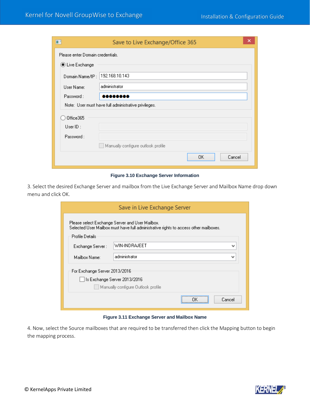| FI.                              | Save to Live Exchange/Office 365                     | × |
|----------------------------------|------------------------------------------------------|---|
| Please enter Domain credentials. |                                                      |   |
| ◉ Live Exchange                  |                                                      |   |
| Domain Name/IP: 192.168.10.143   |                                                      |   |
| User Name:                       | administrator                                        |   |
| Password:                        | 4444444                                              |   |
|                                  | Note: User must have full administrative privileges. |   |
| Office365                        |                                                      |   |
| UserID:                          |                                                      |   |
| Password:                        |                                                      |   |
|                                  | Manually configure outlook profile                   |   |
|                                  | Cancel<br>0K                                         |   |

#### **Figure 3.10 Exchange Server Information**

3. Select the desired Exchange Server and mailbox from the Live Exchange Server and Mailbox Name drop down menu and click OK.

| Save in Live Exchange Server  |                                                                                                                                          |              |  |  |  |
|-------------------------------|------------------------------------------------------------------------------------------------------------------------------------------|--------------|--|--|--|
| <b>Profile Details</b>        | Please select Exchange Server and User Mailbox.<br>Selected User Mailbox must have full administrative rights to access other mailboxes. |              |  |  |  |
| Exchange Server:              | WIN-INDRAJEET                                                                                                                            | $\checkmark$ |  |  |  |
| Mailbox Name:                 | administrator                                                                                                                            | w            |  |  |  |
| For Exchange Server 2013/2016 |                                                                                                                                          |              |  |  |  |
|                               | Is Exchange Server 2013/2016                                                                                                             |              |  |  |  |
|                               | Manually configure Outlook profile                                                                                                       |              |  |  |  |
|                               | <br>\                                                                                                                                    | Cancel       |  |  |  |

#### **Figure 3.11 Exchange Server and Mailbox Name**

4. Now, select the Source mailboxes that are required to be transferred then click the Mapping button to begin the mapping process.

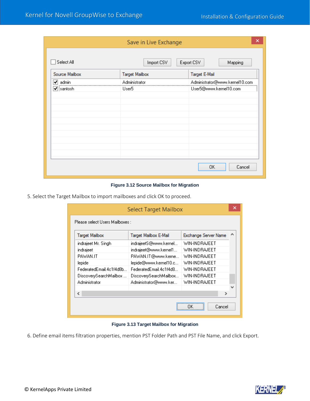| Save in Live Exchange |                       |                                |                    |  |
|-----------------------|-----------------------|--------------------------------|--------------------|--|
| Select All            | Import CSV            | Export CSV                     | Mapping            |  |
| Source Mailbox        | <b>Target Mailbox</b> | Target E-Mail                  |                    |  |
| ✓<br>admin            | Administrator         | Administrator@www.kernel10.com | ------------------ |  |
| <br>√∥santosh         | User5                 | User5@www.kernel10.com         |                    |  |
|                       |                       |                                |                    |  |
|                       |                       |                                |                    |  |
|                       |                       |                                |                    |  |
|                       |                       |                                |                    |  |
|                       |                       |                                |                    |  |
|                       |                       |                                |                    |  |
|                       |                       |                                |                    |  |
|                       |                       |                                |                    |  |
|                       |                       |                                |                    |  |
|                       |                       | 0K                             | Cancel             |  |

#### **Figure 3.12 Source Mailbox for Migration**

5. Select the Target Mailbox to import mailboxes and click OK to proceed.

|                                 | <b>Select Target Mailbox</b> |                      | × |
|---------------------------------|------------------------------|----------------------|---|
| Please select Users Mailboxes : |                              |                      |   |
| <b>Target Mailbox</b>           | Target Mailbox E-Mail        | Exchange Server Name |   |
| indrajeet Mr. Singh.            | indrajeetS@www.kernel        | WIN-INDRAJEET        |   |
| indrajeet                       | indrajeet@www.kernel1        | WIN-INDRAJEET        |   |
| PAWAN.IT                        | PAWAN.IT@www.kerne           | WIN-INDRAJEET        |   |
| lepide                          | lepide@www.kernel10.c        | WIN-INDRAJEET        |   |
| FederatedEmail.4c1f4d8b         | FederatedEmail.4c1f4d8       | WIN-INDRAJEET        |   |
| DiscoverySearchMailbox          | DiscoverySearchMailbox       | WIN-INDRAJEET        |   |
| Administrator                   | Administrator@www.ker        | WIN-INDRAJEET        |   |
|                                 |                              |                      | w |
| ∢                               |                              | ⋗                    |   |
|                                 |                              | <br>Cancel           |   |

### **Figure 3.13 Target Mailbox for Migration**

6. Define email items filtration properties, mention PST Folder Path and PST File Name, and click Export.

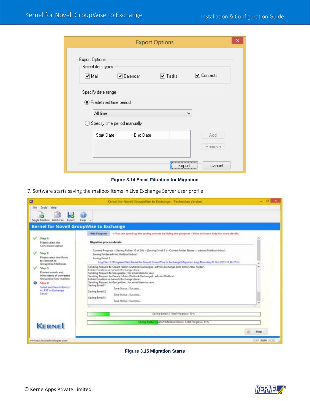|                                            |                                                          | <b>Export Options</b>           |                  |
|--------------------------------------------|----------------------------------------------------------|---------------------------------|------------------|
| <b>Export Options</b><br>Select item types |                                                          |                                 |                  |
| √ Mail                                     | √ Calendar                                               | $\sqrt{}$ Tasks                 | √ Contacts       |
| All time                                   | ● Predefined time period<br>Specify time period manually |                                 | v                |
| Start Date                                 | End Date                                                 |                                 | Add              |
|                                            |                                                          |                                 | Remove           |
|                                            |                                                          | ,,,,,,,,,,,,,,,,,,,,,,,,,,,,,,, | Cancel<br>Export |

## **Figure 3.14 Email Filtration for Migration**

7. Software starts saving the mailbox items in Live Exchange Server user profile.

| 匯                                                                                   | Kernel for Novell GroupWise to Exchange - Technician Version                                                                                                                                                                                                                                                             | - 81<br>- 50 |
|-------------------------------------------------------------------------------------|--------------------------------------------------------------------------------------------------------------------------------------------------------------------------------------------------------------------------------------------------------------------------------------------------------------------------|--------------|
| Tools Help<br>File:                                                                 |                                                                                                                                                                                                                                                                                                                          |              |
| Single Mailbox Batch File<br>Export                                                 | $\bullet$<br>Help                                                                                                                                                                                                                                                                                                        |              |
|                                                                                     | <b>Kernel for Novell GroupWise to Exchange</b>                                                                                                                                                                                                                                                                           |              |
| Step 1:<br>Please select the<br>Conversion Option<br>$Step 2$ :                     | <b>Hide Progress</b><br><- You can speed up the saving process by fiding the progress - View software help for more details.<br><b>Migration process details</b><br>Current Progress - (Seving Folder 10 of 24) - (Seving Email 3) - Current folder Name: - admin/Mailbox/Inbox).<br>Saving Folderadmini Mailbox/Jnbox/. |              |
| Please select the Mode<br>to connect to<br>GroupWrie Mailboxes                      | <b>Saving Email 3</b><br>Log File: C//Program Filed Kernel for Novell GroupWise to Exchange Migration Log (Thursday 01 Oct 2015 17:28 37:txt<br>Sending Request to Create folder (Outlook/Exchange) : admin/.Exchange Sent Items/.New Folder/.                                                                           |              |
| Step 3:<br>Preview emails and<br>other items of converted<br>GroupWise User mailbox | Folder Canation in nationk/Eurhange done.<br>Sending Request to GroupWise, for email item to save<br>Sending Request to Create folder (Outlook/Exchange) : admini Mailbox/.<br>Folder Creation in outlook/Exchange done.                                                                                                 |              |
| Step &<br>Select and Save folderful.<br>in PST or Exchange<br>Server                | Sending Request to GroupWise, for email item to save<br>Saving Email 1<br>Save Status: Success<br>Saving Email 2<br>Save Status : Success<br>Saving Email 3                                                                                                                                                              |              |
|                                                                                     | Save Status : Success                                                                                                                                                                                                                                                                                                    |              |
|                                                                                     | Seving Email 3 Total Progress : 13%                                                                                                                                                                                                                                                                                      |              |
| KERNEL                                                                              | Severa Folder Admini Mailbox/inbox). Total Progress : 41%                                                                                                                                                                                                                                                                |              |
|                                                                                     |                                                                                                                                                                                                                                                                                                                          | Stop<br>a.   |
| www.nucleuttechnologies.com                                                         |                                                                                                                                                                                                                                                                                                                          | CAP NUM SCIL |



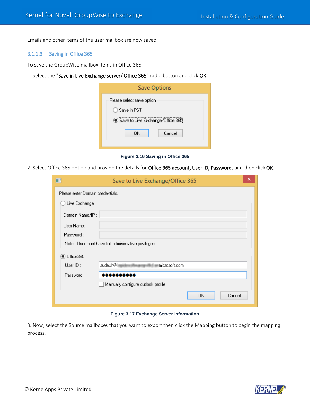Emails and other items of the user mailbox are now saved.

#### 3.1.1.3 Saving in Office 365

To save the GroupWise mailbox items in Office 365:

1. Select the "Save in Live Exchange server/ Office 365" radio button and click OK.

| <b>Save Options</b>              |
|----------------------------------|
| Please select save option        |
| ◯ Save in PST                    |
| Save to Live Exchange/Office 365 |
| ΩK<br>Cancel                     |
|                                  |

**Figure 3.16 Saving in Office 365**

2. Select Office 365 option and provide the details for Office 365 account, User ID, Password, and then click OK.

|                                  | Save to Live Exchange/Office 365                     | × |
|----------------------------------|------------------------------------------------------|---|
| Please enter Domain credentials. |                                                      |   |
| Live Exchange                    |                                                      |   |
| Domain Name/IP:                  |                                                      |   |
| User Name:                       |                                                      |   |
| Password:                        |                                                      |   |
|                                  | Note: User must have full administrative privileges. |   |
| $\odot$ Office365                |                                                      |   |
| Use <b>ID</b> :                  |                                                      |   |
| Password:                        |                                                      |   |
|                                  | Manually configure outlook profile                   |   |
|                                  | Cancel<br>ΟK                                         |   |

#### **Figure 3.17 Exchange Server Information**

3. Now, select the Source mailboxes that you want to export then click the Mapping button to begin the mapping process.

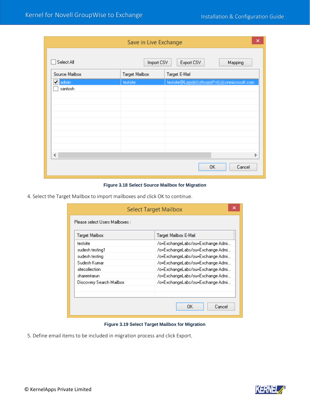|                     | Save in Live Exchange |                                 | ×               |
|---------------------|-----------------------|---------------------------------|-----------------|
| Select All          | Import CSV            | Export CSV                      | Mapping         |
| Source Mailbox      | <b>Target Mailbox</b> | Target E-Mail                   |                 |
| de admin<br>santosh | testsite              | testsite@L<br><b>Gallwanner</b> | onmicrosoft.com |
| $\checkmark$        |                       | 0K                              | ⋗<br>Cancel     |

#### **Figure 3.18 Select Source Mailbox for Migration**

4. Select the Target Mailbox to import mailboxes and click OK to continue.

| testsite                 | /o=ExchangeLabs/ou=Exchange Admi |
|--------------------------|----------------------------------|
|                          |                                  |
| sudesh testing1          | /o=ExchangeLabs/ou=Exchange Admi |
| sudesh testing           | /o=ExchangeLabs/ou=Exchange Admi |
| Sudesh Kumar             | /o=ExchangeLabs/ou=Exchange Admi |
| sitecollection           | /o=ExchangeLabs/ou=Exchange Admi |
| sharemtarun              | /o=ExchangeLabs/ou=Exchange Admi |
| Discovery Search Mailbox | /o=ExchangeLabs/ou=Exchange Admi |

### **Figure 3.19 Select Target Mailbox for Migration**

5. Define email items to be included in migration process and click Export.

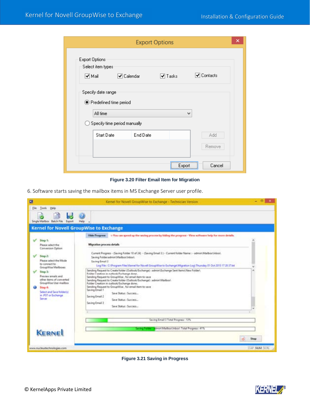|                                            |                              | <b>Export Options</b> |            |
|--------------------------------------------|------------------------------|-----------------------|------------|
| <b>Export Options</b><br>Select item types |                              |                       |            |
| $\overline{\blacktriangledown}$ Mail       | $\triangledown$ Calendar     | √ Tasks               | √ Contacts |
|                                            |                              |                       |            |
| Specify date range                         |                              |                       |            |
|                                            | ● Predefined time period     |                       |            |
| All time                                   |                              |                       | v          |
|                                            | Specify time period manually |                       |            |
|                                            |                              |                       |            |
| Start Date                                 | End Date                     |                       | Add        |
|                                            |                              |                       |            |
|                                            |                              |                       | Remove     |
|                                            |                              |                       |            |

## **Figure 3.20 Filter Email Item for Migration**

6. Software starts saving the mailbox items in MS Exchange Server user profile.

| 國                                                                                   | Kernel for Novell GroupWise to Exchange - Technician Version                                                                                                                                                                                                                                                             | $ -$         |
|-------------------------------------------------------------------------------------|--------------------------------------------------------------------------------------------------------------------------------------------------------------------------------------------------------------------------------------------------------------------------------------------------------------------------|--------------|
| Ede<br>Tools Help                                                                   |                                                                                                                                                                                                                                                                                                                          |              |
|                                                                                     | Ω                                                                                                                                                                                                                                                                                                                        |              |
| Single Mailbox Batch File Export                                                    | Helo<br><b>Kernel for Novell GroupWise to Exchange</b>                                                                                                                                                                                                                                                                   |              |
|                                                                                     | <b>Hide Progress</b><br><- You can speed up the saving process by hiding the progress - View software help for more details.                                                                                                                                                                                             |              |
| Step 1:<br>Please select the<br>Conversion Option                                   | Migration process details                                                                                                                                                                                                                                                                                                |              |
| Step 2:<br>Please select the Mode<br>to connect to<br>GroupWrie Mailboires          | Current Progress - (Saving Folder 10 of 24) - (Saving Email 3) - Current folder Name : - admin/Mailbox/Inbox).<br>Saving Folderadmini Mailbox Inbox<br>Saving Email 3<br>Log File: C1Program Filed Kernel for Novell GroupWise to Exchange Migration Logi Thursday 01 Oct 2015 17:28 37:txt                              |              |
| Step 3:<br>Preview emails and<br>other items of converted<br>GroupWise User mailbox | Sending Request to Create folder (Outlook/Exchange) : admin/Exchange Sent Items/Alew Folder/.<br>Folder Constion in notlook/Eurhange done<br>Sending Request to GroupWise, for email item to save<br>Sending Request to Create folder (Outlook/Exchange) : admini Mailbox/.<br>Folder Creation in outlook/Exchange done. |              |
| Step &<br>œ<br>Select and Save folderful<br>in PST or Exchange<br>Senver            | Sending Request to GroupWise, for email item to save<br>Saving Email 1<br>Save Status: Success<br>Saving Email 2<br>Save Status : Success                                                                                                                                                                                |              |
|                                                                                     | Saving Email 3<br>Save Status : Success                                                                                                                                                                                                                                                                                  |              |
|                                                                                     | Seving Email 3 Total Progress: 13%                                                                                                                                                                                                                                                                                       |              |
|                                                                                     | stmin/Mailbox/inbox/. Total Progress : 41%<br><b>PERSONAL PROPERTY</b>                                                                                                                                                                                                                                                   |              |
| <b>KERNE</b>                                                                        |                                                                                                                                                                                                                                                                                                                          | Stop<br>۵    |
| www.nucleuttechnologies.com                                                         |                                                                                                                                                                                                                                                                                                                          | CAP NUM SCIL |



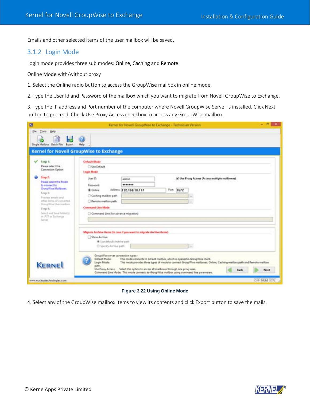Emails and other selected items of the user mailbox will be saved.

## <span id="page-27-0"></span>3.1.2 Login Mode

Login mode provides three sub modes: Online, Caching and Remote.

Online Mode with/without proxy

- 1. Select the Online radio button to access the GroupWise mailbox in online mode.
- 2. Type the User Id and Password of the mailbox which you want to migrate from Novell GroupWise to Exchange.

3. Type the IP address and Port number of the computer where Novell GroupWise Server is installed. Click Next button to proceed. Check Use Proxy Access checkbox to access any GroupWise mailbox.

| 匯                                                                                                                                                                                                                                                          | Kernel for Novell GroupWise to Exchange - Technician Version                                                                                                                                                                                                                                                                                                                                                                                                                             | $-0$ X         |
|------------------------------------------------------------------------------------------------------------------------------------------------------------------------------------------------------------------------------------------------------------|------------------------------------------------------------------------------------------------------------------------------------------------------------------------------------------------------------------------------------------------------------------------------------------------------------------------------------------------------------------------------------------------------------------------------------------------------------------------------------------|----------------|
| Ele<br>Tools:<br>Help<br>Single Mailbox Batch File Export                                                                                                                                                                                                  | Help:<br>Kernel for Novell GroupWise to Exchange                                                                                                                                                                                                                                                                                                                                                                                                                                         |                |
| Step fil<br>Please select the<br>Conversion Option                                                                                                                                                                                                         | <b>Detault Mode</b><br>O Use Default<br>Login Mode                                                                                                                                                                                                                                                                                                                                                                                                                                       |                |
| o<br>Step 2:<br>Please select the Mode<br>to connect to<br>GroupWrse Mailboxes:<br>$Step 3$ :<br>Preview emails and<br>ather here's of converted.<br>GroupWor Uter maillics<br>Step &<br>Select and Save fulder(s).<br>in 257 or Exchange<br><b>Server</b> | - Use Proxy Access (Access multiple mailboxed)<br>User ID:<br>admin<br>*******<br>Passiword<br>Port: 1677<br>Address: 192,168,10,117<br><b>BI Online</b><br>C Caching mailbox path<br>$\rightarrow$<br>Remote mailbox path<br>÷<br><b>Command Line Mode</b><br>C Command Line Ifor advance migration)                                                                                                                                                                                    |                |
|                                                                                                                                                                                                                                                            | Migrate Archive items (in case if you want to migrate Archive items)<br>Show Archive<br>W the default Archive path<br>o<br>(3) Specify Archive path                                                                                                                                                                                                                                                                                                                                      |                |
| KERNEL                                                                                                                                                                                                                                                     | GroupWise server connection types -<br>This mode connects to default mailbox, which is opened in GroupWloe client.<br>Default Mode:<br>This mode provides three types of mode to connect GroupWise mailboxes. Online, Caching mailbox path and Remote mailbox<br>Login Mode<br>math.<br>Use Proxy Access: Select this option to access all mailboxes through one proxy user.<br><b>Back</b><br>Command Line Mode: This mode connects to GroupWise mailbox using command line parameters. | <b>Next</b>    |
| www.nucleustechnologies.com                                                                                                                                                                                                                                |                                                                                                                                                                                                                                                                                                                                                                                                                                                                                          | ICAP INDM SCRL |

**Figure 3.22 Using Online Mode**

4. Select any of the GroupWise mailbox items to view its contents and click Export button to save the mails.

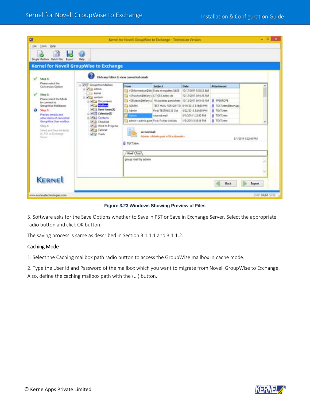| $\alpha$                                                                      |                                                         | Kernel for Novell GroupWise to Exchange - Technician Version                                                                                                          |                                             |                                                                |                              | $-0 x$              |
|-------------------------------------------------------------------------------|---------------------------------------------------------|-----------------------------------------------------------------------------------------------------------------------------------------------------------------------|---------------------------------------------|----------------------------------------------------------------|------------------------------|---------------------|
| Tools:<br>Help<br>Ele                                                         |                                                         |                                                                                                                                                                       |                                             |                                                                |                              |                     |
| Single Mailbox Batch File<br>Export                                           | Help:                                                   |                                                                                                                                                                       |                                             |                                                                |                              |                     |
|                                                                               | Kernel for Novell GroupWise to Exchange                 |                                                                                                                                                                       |                                             |                                                                |                              |                     |
| Step 1:                                                                       | 3                                                       | Click any folder to view converted emails                                                                                                                             |                                             |                                                                |                              |                     |
| Please select the<br>Conversion Option                                        | - GroupWas Mailbox                                      | From:                                                                                                                                                                 | <b>Subject</b>                              | <b>Date</b>                                                    | <b>Attachment</b>            |                     |
|                                                                               | in of a admin.                                          | -1 <gmormentun@tific et="" etats="" requêtes="" sage<="" td=""><td></td><td>T0/12/2011 9:38:23 AM</td><td></td><td></td></gmormentun@tific>                           |                                             | T0/12/2011 9:38:23 AM                                          |                              |                     |
| Step 2:                                                                       | <b>The keywell</b><br>Contract Landscape                | -SFrachon@tifany.c LITIGE Leclerc de                                                                                                                                  |                                             | T0/12/2011 9:44:39 AM                                          |                              |                     |
| Please select the Mode<br>to connect to:                                      | 10 - B Documents                                        |                                                                                                                                                                       |                                             | Doubois@tifany.ci 40 assisttes panachées 10/12/2011 9:45:43 AM | <b>III</b> FPEUROPE          |                     |
| GroupWise Mailboxes                                                           | <b>Walkers</b>                                          | <b>ADMIN</b>                                                                                                                                                          | TEST MAIL FOR OW TO (\$/19/2012 3:16:55 PM) |                                                                | <b>B</b> TEXT htm Desert jps |                     |
| Step 3:<br>o                                                                  | C. Sent Insent(1)                                       | Admin.                                                                                                                                                                | Fwd: TESTING 23 Oct                         | 4/22/2013 3:24:50 PM                                           | <b>B</b> TECLMIN             |                     |
| Presiesi emails and<br>other items of converted                               | 11-17 Calendar (3)<br>(b) Mill Cortacts                 | <b>E</b> Admin                                                                                                                                                        | <b>Garn brooks</b>                          | 5/1/2014 1:22:40 PM                                            | <b>B</b> TECTAM              |                     |
| GroupWise User mailbox                                                        | <b>Checkfort</b>                                        | admin <admin.post articles<="" fichier="" fwd.="" td=""><td></td><td>1/5/2015 5:58:16 PM</td><td><b>Q</b> TECLMen</td><td><math>\overline{v}</math></td></admin.post> |                                             | 1/5/2015 5:58:16 PM                                            | <b>Q</b> TECLMen             | $\overline{v}$      |
| Step 4:<br>Select and Save foldertill<br>in PST of Sichinge<br>Senies Control | <b>Work in Progress</b><br>Cabinet<br><b>COLD Trash</b> | second mail<br>TEXT.htm                                                                                                                                               | Admin-cAdmin.post office.domain>            |                                                                |                              | 5/1/2014 1-22-40 PM |
|                                                                               |                                                         | <b>Hitml</b> Text                                                                                                                                                     |                                             |                                                                |                              |                     |
|                                                                               |                                                         | group mail by admin.                                                                                                                                                  |                                             |                                                                |                              | A                   |
|                                                                               |                                                         |                                                                                                                                                                       |                                             |                                                                |                              |                     |
| KERNEL                                                                        |                                                         |                                                                                                                                                                       |                                             |                                                                | Rack                         | <b>Export</b>       |
| www.nucleustechnologies.com                                                   |                                                         |                                                                                                                                                                       |                                             |                                                                |                              | ICAP INDM SCRL      |

**Figure 3.23 Windows Showing Preview of Files**

5. Software asks for the Save Options whether to Save in PST or Save in Exchange Server. Select the appropriate radio button and click OK button.

The saving process is same as described in Section 3.1.1.1 and 3.1.1.2.

## Caching Mode

1. Select the Caching mailbox path radio button to access the GroupWise mailbox in cache mode.

2. Type the User Id and Password of the mailbox which you want to migrate from Novell GroupWise to Exchange. Also, define the caching mailbox path with the (...) button.

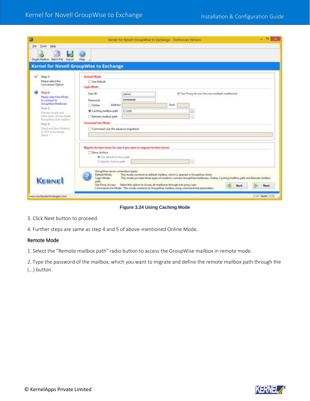| 匯                                                                                                                                                                                                                                                | Kernel for Novell GroupWise to Exchange - Technician Version                                                                                                                                                                                                                                                                                                                                                                                                                                  | $- 0 1 1$    |
|--------------------------------------------------------------------------------------------------------------------------------------------------------------------------------------------------------------------------------------------------|-----------------------------------------------------------------------------------------------------------------------------------------------------------------------------------------------------------------------------------------------------------------------------------------------------------------------------------------------------------------------------------------------------------------------------------------------------------------------------------------------|--------------|
| <b>Tools</b><br>Help<br>Ele                                                                                                                                                                                                                      |                                                                                                                                                                                                                                                                                                                                                                                                                                                                                               |              |
| Single Mailbox Batch File<br>Export                                                                                                                                                                                                              | Help<br><b>Kernel for Novell GroupWise to Exchange</b>                                                                                                                                                                                                                                                                                                                                                                                                                                        |              |
| Step 1:<br>Please select the<br><b>Conversion Option</b>                                                                                                                                                                                         | <b>Default Mode</b><br><b>O Use Default</b><br>Login Mode                                                                                                                                                                                                                                                                                                                                                                                                                                     |              |
| ۰<br>Step 2:<br>Please select the Mode<br>to connect to<br>GroupWize Mailboxes<br>Step 31<br>Freshew ternaily and<br>other darm of canverted<br>GroupWiss User mailbox<br>Step 4:<br>Select and Save folderful<br>in PST or Exchange<br>Service: | User ID:<br>if, the Proxy Access (Access midtiple malboxes)<br>admin<br>********<br>Password<br>Address<br>Port:<br>C Online<br>Caching mailbox path<br>Cillitan<br>$\rightarrow$<br>C Remote mailbox path<br>$\sim$<br><b>Command Line Mode</b><br>C Command Line (for advance migration)                                                                                                                                                                                                    |              |
|                                                                                                                                                                                                                                                  | Migrate Archive items (in case if you want to migrate Archive items)<br>Show Archive<br>W Use default Archive path<br><sup>(2)</sup> Specify Archive path<br>÷                                                                                                                                                                                                                                                                                                                                |              |
| KERNEL                                                                                                                                                                                                                                           | GroupWise server connection types-<br>Default Mode:<br>This mode connects to default mailbox, which is opened in GroupWise client.<br>Login Mode:<br>This mode provides three types of mode to connect GroupWise mailboxes. Online, Caching mailbox path and Remote mailbox<br>math.<br>Use Proxy Access: Select this option to access all maliboxes through one proxy user.<br><b>Rack</b><br>Convirged Line Mode: This mode connects to Groupithse mailbox using convirged line parameters. | Newt         |
| www.nucleustechnologies.com                                                                                                                                                                                                                      |                                                                                                                                                                                                                                                                                                                                                                                                                                                                                               | CAP MUM SCRL |

**Figure 3.24 Using Caching Mode**

- 3. Click Next button to proceed.
- 4. Further steps are same as step 4 and 5 of above-mentioned Online Mode.

## Remote Mode

1. Select the "Remote mailbox path" radio button to access the GroupWise mailbox in remote mode.

2. Type the password of the mailbox, which you want to migrate and define the remote mailbox path through the (...) button.

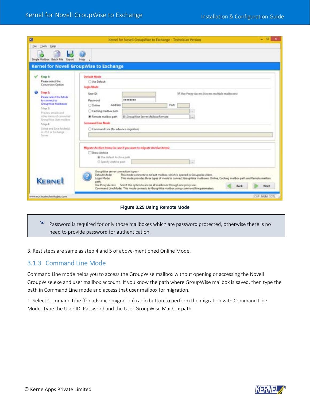| a                                                                                                                                                                                                                                                                                                                          | Kennel for Novell GroupWise to Exchange - Technician Version                                                                                                                                                                                                                                                                                                                                                                                                                                                             | $   -$       |
|----------------------------------------------------------------------------------------------------------------------------------------------------------------------------------------------------------------------------------------------------------------------------------------------------------------------------|--------------------------------------------------------------------------------------------------------------------------------------------------------------------------------------------------------------------------------------------------------------------------------------------------------------------------------------------------------------------------------------------------------------------------------------------------------------------------------------------------------------------------|--------------|
| Ele<br><b>Tools</b><br>Help<br>Single Mailbox Batch File<br>Export                                                                                                                                                                                                                                                         | Hela<br><b>Kernel for Novell GroupWise to Exchange</b>                                                                                                                                                                                                                                                                                                                                                                                                                                                                   |              |
| Step 1:<br>Please select the<br><b>Conversion Option</b><br>o<br>Step 2:<br><b>Please select the Mode</b><br>to connect to<br>GroupWise Mailboxes<br>Step 31<br>Freshew terrails and<br>other darm of cancerted<br>GroupWise User mailties<br>Step 4:<br>Select and Save folder[1]<br>in 25T or Enchange<br><b>Service</b> | <b>Default Mode</b><br>O Use Default<br>Login Mode<br>User (Dr.<br>if, the Proxy Access (Access midtiple malboxes)<br>********<br>Password<br>Port:<br><b>Address</b><br>O Online<br>C Caching mailbox path<br>۰<br>C Remote mailbox path<br>D. Group Wee Server Mailbon Remote<br>u<br><b>Command Line Mode</b><br>C Command Line (for advance migration)<br>Migrate Archive items (In case if you want to migrate Archive items)<br>Show Archive<br>W Use-default Archive path<br><sup>(3)</sup> Specify Archive pitch |              |
| KERNEL                                                                                                                                                                                                                                                                                                                     | w<br>GroupWise server connection types-<br>This mode connects to default mailbox, which is opened in GroupWise client.<br>Default Mode:<br>Login Mode:<br>This mode provides three types of mode to connect GroupWise mailloxes. Online, Caching mailbox path and Remote mailbox<br>math.<br>Use Proxy Access<br>Select this option to access all maliboxes through one proxy user.<br><b>Back</b><br>Convirged Line Mode: This mode connects to Groupithse matbox using command line parameters.                        | Next         |
| www.nucleustechnologies.com                                                                                                                                                                                                                                                                                                |                                                                                                                                                                                                                                                                                                                                                                                                                                                                                                                          | CAP NUM SCRL |

#### **Figure 3.25 Using Remote Mode**

**A** Password is required for only those mailboxes which are password protected, otherwise there is no need to provide password for authentication.

3. Rest steps are same as step 4 and 5 of above-mentioned Online Mode.

## <span id="page-30-0"></span>3.1.3 Command Line Mode

Command Line mode helps you to access the GroupWise mailbox without opening or accessing the Novell GroupWise.exe and user mailbox account. If you know the path where GroupWise mailbox is saved, then type the path in Command Line mode and access that user mailbox for migration.

1. Select Command Line (for advance migration) radio button to perform the migration with Command Line Mode. Type the User ID, Password and the User GroupWise Mailbox path.

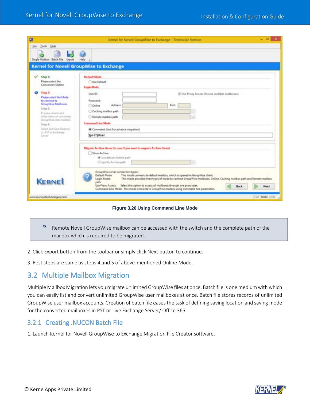| 國                                                                                                                                                                                                                                                 | Kentel for Novell GroupWise to Exchange - Technician Version                                                                                                                                                                                                                                                                                                                                                                                                                       | - - -        |
|---------------------------------------------------------------------------------------------------------------------------------------------------------------------------------------------------------------------------------------------------|------------------------------------------------------------------------------------------------------------------------------------------------------------------------------------------------------------------------------------------------------------------------------------------------------------------------------------------------------------------------------------------------------------------------------------------------------------------------------------|--------------|
| Tools<br>Help<br>Ele                                                                                                                                                                                                                              |                                                                                                                                                                                                                                                                                                                                                                                                                                                                                    |              |
| Single Mailbox Batch File<br>Export                                                                                                                                                                                                               | <b>Help</b><br><b>Kernel for Novell GroupWise to Exchange</b>                                                                                                                                                                                                                                                                                                                                                                                                                      |              |
| Step 1:<br>Please select the<br>Conversion Option                                                                                                                                                                                                 | <b>Default Mode</b><br>O Use Default<br>Login Mode                                                                                                                                                                                                                                                                                                                                                                                                                                 |              |
| o<br>Step 21<br>Please select the Mode<br>to connect to:<br>GroupWise Mailboves<br>Step 3:<br>Preview arrun's and<br>other dens of converted<br>GroupWiss User mailbox<br>Step-It<br>Salect and Save folderful-<br>in JST or Exchange.<br>Service | User ID:<br>W. Use Proxy Access (Access multiple malboxes)<br>Pattword:<br>Port.<br>Address:<br><b>O</b> Online<br>C Caching mailbox path.<br>Remote mailbox path<br><b>Command Line Mode</b><br>Command Line (for advance migration)<br>Jpr-C:Ulser                                                                                                                                                                                                                               |              |
|                                                                                                                                                                                                                                                   | Migrate Archive items (in case if you want to migrate Archive items)<br>Show Archive<br>We Use default Archive path<br>C Specify Archive path                                                                                                                                                                                                                                                                                                                                      |              |
| KERNE                                                                                                                                                                                                                                             | GroupWise server connection types-<br>Default Mode<br>This mode connects to default mailbox, which is opened in GroupilVise client.<br>This mode provides three types of mode to connect GroupWise maliboxes. Online, Caching malibox path and Remote malibox<br>Login Mode:<br>path.<br>Use Preny Access. Select this option to access all mailboxes through one proxy user.<br>Back<br>Command Line Mode: This mode connects to GroupWise mailbox using command line parameters. | Next         |
| www.nucleuthechnologies.com                                                                                                                                                                                                                       |                                                                                                                                                                                                                                                                                                                                                                                                                                                                                    | CAP NUM SCRL |

#### **Figure 3.26 Using Command Line Mode**

Remote Novell GroupWise mailbox can be accessed with the switch and the complete path of the mailbox which is required to be migrated.

- 2. Click Export button from the toolbar or simply click Next button to continue.
- 3. Rest steps are same as steps 4 and 5 of above-mentioned Online Mode.

## <span id="page-31-0"></span>3.2 Multiple Mailbox Migration

Multiple Mailbox Migration lets you migrate unlimited GroupWise files at once. Batch file is one medium with which you can easily list and convert unlimited GroupWise user mailboxes at once. Batch file stores records of unlimited GroupWise user mailbox accounts. Creation of batch file eases the task of defining saving location and saving mode for the converted mailboxes in PST or Live Exchange Server/ Office 365.

## <span id="page-31-1"></span>3.2.1 Creating .NUCON Batch File

1. Launch Kernel for Novell GroupWise to Exchange Migration File Creator software.

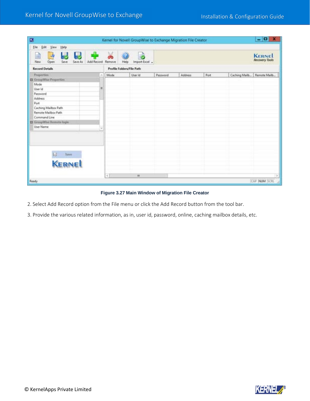| 國                                                                                                                                                                                                                                                                      |                                                        | Kernel for Novell GroupWise to Exchange Migration File Creator | $ \Box$ x                              |
|------------------------------------------------------------------------------------------------------------------------------------------------------------------------------------------------------------------------------------------------------------------------|--------------------------------------------------------|----------------------------------------------------------------|----------------------------------------|
| Yes Help<br>Ele Edit<br>IJ<br>IJ<br>H<br>占<br>Open<br>Save<br>Save As<br>Add Record<br>New                                                                                                                                                                             | $\Rightarrow$<br>Q<br>Help<br>Import Excel .<br>Remove |                                                                | <b>KERNEL</b><br><b>Recovery Tools</b> |
| Record Details                                                                                                                                                                                                                                                         | Profile Folders/File Path                              |                                                                |                                        |
| <b>Properties</b><br>×<br><b>El</b> GroupWise Properties<br>Mode<br>ш<br>User Id<br>Password<br>Address<br>Port<br>Caching Mailbox Path<br>Remote Mailbox Path<br>Command Line<br>El GrasgWive Remote logie<br>User Name<br>$\overline{a}$<br>$\bigcup$ Save<br>KERNEL | User ld<br>Mede                                        | Caching Mailb   Remote Mailb<br>Password<br>Address<br>Port    |                                        |
| Ready                                                                                                                                                                                                                                                                  | $\left\vert \epsilon \right\rangle$<br>m               |                                                                | $\overline{12}$<br>CAP NUM SCRL        |

**Figure 3.27 Main Window of Migration File Creator**

2. Select Add Record option from the File menu or click the Add Record button from the tool bar.

3. Provide the various related information, as in, user id, password, online, caching mailbox details, etc.

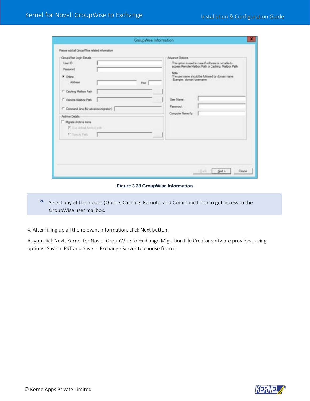| Please add all GroupWise related information<br>GroupWise Login Details<br>User ID<br>Password<br>G. Online<br>Address<br>Pott<br>C Caching Malbox Path<br>C. Renote Malbox Path<br>Command Line for advance nigration)<br>Archive Details<br>Migrate Archive Sems<br>R. Live delays Archive polls. | Advance Options<br>This option is used in case if software is not able to<br>access Renote Malbox Path or Caching Malbox Path<br>Note:<br>The user name should be followed by domain name<br>Example: domain/usemaine<br>User Name:<br>Password:<br>Computer Name/Ip: |
|-----------------------------------------------------------------------------------------------------------------------------------------------------------------------------------------------------------------------------------------------------------------------------------------------------|-----------------------------------------------------------------------------------------------------------------------------------------------------------------------------------------------------------------------------------------------------------------------|
| C. Specify Pally                                                                                                                                                                                                                                                                                    | Next ><br>s Back<br>Cancel                                                                                                                                                                                                                                            |

**Figure 3.28 GroupWise Information**

- Select any of the modes (Online, Caching, Remote, and Command Line) to get access to the GroupWise user mailbox.
- 4. After filling up all the relevant information, click Next button.

As you click Next, Kernel for Novell GroupWise to Exchange Migration File Creator software provides saving options: Save in PST and Save in Exchange Server to choose from it.

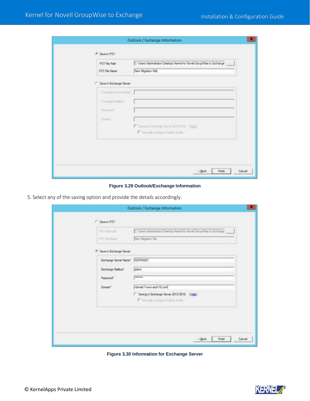| <b>PST File Path</b><br><b>PST File Name</b> | C:\Usen\Administrator\Desktop\Kemel for Novell GroupWise to Exchange ___<br>New Mgration File |
|----------------------------------------------|-----------------------------------------------------------------------------------------------|
| C Save in Exchange Server                    |                                                                                               |
| Exthange Delver Name"                        |                                                                                               |
| Eistunge Malbox"                             |                                                                                               |
| Passed"                                      |                                                                                               |
| Donald,                                      |                                                                                               |
|                                              | E. Terror Cellunge Terrer 2013/2016 1166/L<br>E. Manually cooligain Datioch another           |
|                                              |                                                                                               |

**Figure 3.29 Outlook/Exchange Information**

5. Select any of the saving option and provide the details accordingly.

| C. Save in PST              |                                                                     |
|-----------------------------|---------------------------------------------------------------------|
| <b>PST Fix Fall</b>         | C.\Uken\Administrator\Desktop\Kemelfor Novelt GroupWise to Exchange |
| PST Fie Rand                | New Mgration File                                                   |
| (F Save in Exchange Server) |                                                                     |
| Exchange Server Name"       | MORWER?                                                             |
| Exchange Malbox"            | admin                                                               |
| Password*                   | --------                                                            |
| Domain*                     | Indrweb 7 www.exch 16 com                                           |
|                             | Saving in Exchange Server 2013/2016. (Help)                         |
|                             | F" Marcully coolgare Dutook another                                 |
|                             |                                                                     |
|                             |                                                                     |
|                             |                                                                     |
|                             | Finish<br><back< td=""></back<>                                     |

**Figure 3.30 Information for Exchange Server**

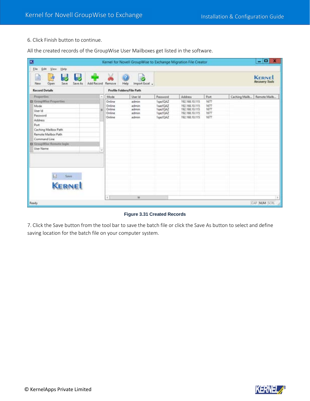6. Click Finish button to continue.

All the created records of the GroupWise User Mailboxes get listed in the software.

| 國                                                                                                                                                                                             | Kernel for Novell GroupWise to Exchange Migration File Creator                                                                                                                                                                                                                              | $= 0 x$                                |
|-----------------------------------------------------------------------------------------------------------------------------------------------------------------------------------------------|---------------------------------------------------------------------------------------------------------------------------------------------------------------------------------------------------------------------------------------------------------------------------------------------|----------------------------------------|
| Help<br>Yes<br>Ele<br>Edit<br>U<br>IJ<br>a)<br>đ<br>Open<br>Save<br>New<br>Save As<br>Add Record                                                                                              | H<br>Import Excel .<br>Help<br>Remove                                                                                                                                                                                                                                                       | <b>KERNEL</b><br><b>Recovery Tools</b> |
| <b>Record Details</b>                                                                                                                                                                         | Profile Folders/File Path                                                                                                                                                                                                                                                                   |                                        |
| Properties<br>×                                                                                                                                                                               | Caching Mailb Remote Mailb<br>Address<br>Port<br>Mode<br>User Id<br>Paizword                                                                                                                                                                                                                |                                        |
| <b>El</b> GroupWise Properties<br>Mode<br>User Id<br>Password<br>Address<br>Port<br>Caching Mailbox Path<br>Remote Mailbox Path<br>Command Line<br>E GroupWier Remote login<br>User Name<br>w | Tgar/QAZ<br>192.168.10.115<br>1677<br>Online<br>admin<br>TouchQAZ<br>1677<br>192.168.10.115<br>admin<br>Online<br>1677<br>Tigaz/QAZ<br>192.168.10.115<br>Online<br>admin<br>1677<br>Foat/QAZ<br>192.168.10.115<br>Online<br>admin<br>1677<br>192.168.10.115<br>figaz QAZ<br>Online<br>admin |                                        |
| u<br>- Save<br>KERNE<br>Ready                                                                                                                                                                 | $\epsilon$<br>m                                                                                                                                                                                                                                                                             | i s-<br>CAP NUM SCRL                   |

**Figure 3.31 Created Records**

7. Click the Save button from the tool bar to save the batch file or click the Save As button to select and define saving location for the batch file on your computer system.

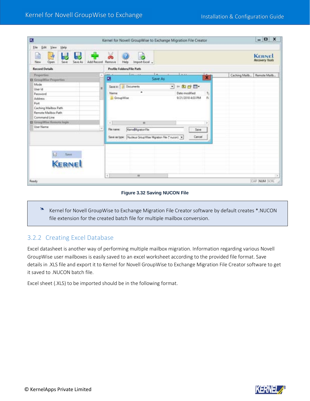| 國                                                                                                     | Kernel for Novell GroupWise to Exchange Migration File Creator                                                                                          | $  x$                                  |
|-------------------------------------------------------------------------------------------------------|---------------------------------------------------------------------------------------------------------------------------------------------------------|----------------------------------------|
| View Help<br>Eile Edit<br>퇐<br>Ы<br>å<br>ш<br>Open<br>Save<br>Savie As<br>New<br>Add Record           | Help<br>Import Excel .<br>Remove                                                                                                                        | <b>KERNEL</b><br><b>Recovery Tools</b> |
| <b>Record Details</b>                                                                                 | <b>Profile Folders/File Path</b>                                                                                                                        |                                        |
| Properties<br>$\sim$<br>El GroupWise Properties<br>Mode                                               | $T_{11}$ $T_2$<br>Ta<br>Tax.<br><b>Laster</b><br>Caching Mailb<br>×<br>鴄<br>Save As                                                                     | Remote Mailb                           |
| User ld<br>Password<br>Address<br>Port<br>Caching Mailbox Path<br>Remote Mailbox Path<br>Command Line | $- + 0$ of $\mathbb{R}^n$<br>Save H: Documents<br>۰<br>Name<br>Date modified<br>$T_3$<br>GroupWise<br>9/21/2018 4:03 PM<br>R                            |                                        |
| El GroupWise Remote login<br>User Name<br>w                                                           | $\mathcal{R}$<br>m<br>$\rightarrow$<br>Keine Migration File<br>File name:<br>Saint<br>Save as type: Nucleus GroupWise Migraton Rie ("nucon) =<br>Cancel |                                        |
| ы<br>Save<br>KERNE                                                                                    | $\vert \epsilon \vert$<br>$\mathbf{H}$                                                                                                                  | 130                                    |
| Ready                                                                                                 |                                                                                                                                                         | CAP NUM SCIL                           |

#### **Figure 3.32 Saving NUCON File**

**A** Kernel for Novell GroupWise to Exchange Migration File Creator software by default creates \*.NUCON file extension for the created batch file for multiple mailbox conversion.

## <span id="page-36-0"></span>3.2.2 Creating Excel Database

Excel datasheet is another way of performing multiple mailbox migration. Information regarding various Novell GroupWise user mailboxes is easily saved to an excel worksheet according to the provided file format. Save details in .XLS file and export it to Kernel for Novell GroupWise to Exchange Migration File Creator software to get it saved to .NUCON batch file.

Excel sheet (.XLS) to be imported should be in the following format.

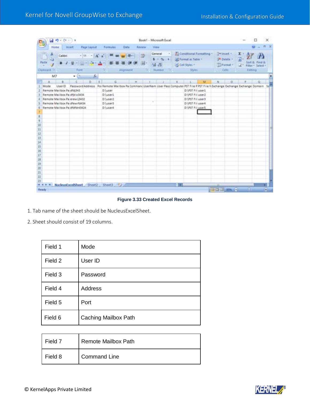| 四 光<br>Formulas<br>Home<br><b>Page Layout</b><br>View<br>Data<br>Kevlein<br>u<br>insert.<br>La Conditional Formatting<br>The lastert in<br>General<br>$\Sigma$ :<br>in Pr.<br>$-11 - A$<br>Calibin<br>国<br>$5 - 36$<br><b>Joseph Avenue Command State Inc.</b><br><sup>24</sup> Delete =<br>$\ddot{\phantom{1}}$<br>Paste<br>$\frac{1}{2}$ = $\frac{1}{2}$ = $\frac{1}{2}$<br>Finit A<br>5611<br>в<br>田<br>실 결<br>EG Cell Styles<br><b>El Format</b> *<br>æ<br>Filter + Select +<br>Olebsard <sup>5</sup><br>Number<br>$-1+1$<br>Cells<br>Editing<br>Ford<br>Alignment<br>Styles:<br>F# 1<br>ы.<br>$+$ $(4)$<br>fe.<br>is.<br>M7<br>a.<br>в<br>c<br>D.<br>M<br>a<br>×<br>a<br>×<br>×<br>o<br>$\mathbf x$<br><b>Links</b><br>Password Address Por Remote Mailbox Pa Comman: UserNam User Pass Computer PST File PPST File N Exchange Exchange Exchange Comain<br>Mode<br>UserID<br><b>SAF</b><br>D.VIST Fill user1<br>Remote Mailbox Pa dfd(343)<br>D.fusier<br>Remote Mailbox Pa df/klo3434<br>D.juser1<br>D:\PST Fit user2<br>Remote Mailbox Palerewi(3432)<br>D.VIST Fill user3<br>D.huser2<br>Remote Mailbox Pa dfewrfd434<br>D.\user3<br>D.VPST Fit usent<br>D.VIST FilluserS<br>Remote Mailbox Pa dfold:43424<br>D.judel4<br>10<br>11<br>12<br>13<br>14<br>15<br>16<br>17<br>18<br>$19\,$<br>20<br>21<br>22<br>23<br>$-1$<br>NucleusExcelSheet Sheet2 Sheet3<br>$-4 - 3 - 31$<br><b>JUNEAU AN GE</b><br>见出<br>Ready |  | $-9 - 0 - 1$ |  |  |  |  | Book1 - Microsoft Excel |  |  |  | □ | ×  |
|--------------------------------------------------------------------------------------------------------------------------------------------------------------------------------------------------------------------------------------------------------------------------------------------------------------------------------------------------------------------------------------------------------------------------------------------------------------------------------------------------------------------------------------------------------------------------------------------------------------------------------------------------------------------------------------------------------------------------------------------------------------------------------------------------------------------------------------------------------------------------------------------------------------------------------------------------------------------------------------------------------------------------------------------------------------------------------------------------------------------------------------------------------------------------------------------------------------------------------------------------------------------------------------------------------------------------------------------------------------------------------------------------------------------------|--|--------------|--|--|--|--|-------------------------|--|--|--|---|----|
|                                                                                                                                                                                                                                                                                                                                                                                                                                                                                                                                                                                                                                                                                                                                                                                                                                                                                                                                                                                                                                                                                                                                                                                                                                                                                                                                                                                                                          |  |              |  |  |  |  |                         |  |  |  |   |    |
|                                                                                                                                                                                                                                                                                                                                                                                                                                                                                                                                                                                                                                                                                                                                                                                                                                                                                                                                                                                                                                                                                                                                                                                                                                                                                                                                                                                                                          |  |              |  |  |  |  |                         |  |  |  |   |    |
|                                                                                                                                                                                                                                                                                                                                                                                                                                                                                                                                                                                                                                                                                                                                                                                                                                                                                                                                                                                                                                                                                                                                                                                                                                                                                                                                                                                                                          |  |              |  |  |  |  |                         |  |  |  |   |    |
|                                                                                                                                                                                                                                                                                                                                                                                                                                                                                                                                                                                                                                                                                                                                                                                                                                                                                                                                                                                                                                                                                                                                                                                                                                                                                                                                                                                                                          |  |              |  |  |  |  |                         |  |  |  |   |    |
|                                                                                                                                                                                                                                                                                                                                                                                                                                                                                                                                                                                                                                                                                                                                                                                                                                                                                                                                                                                                                                                                                                                                                                                                                                                                                                                                                                                                                          |  |              |  |  |  |  |                         |  |  |  |   |    |
|                                                                                                                                                                                                                                                                                                                                                                                                                                                                                                                                                                                                                                                                                                                                                                                                                                                                                                                                                                                                                                                                                                                                                                                                                                                                                                                                                                                                                          |  |              |  |  |  |  |                         |  |  |  |   |    |
|                                                                                                                                                                                                                                                                                                                                                                                                                                                                                                                                                                                                                                                                                                                                                                                                                                                                                                                                                                                                                                                                                                                                                                                                                                                                                                                                                                                                                          |  |              |  |  |  |  |                         |  |  |  |   |    |
|                                                                                                                                                                                                                                                                                                                                                                                                                                                                                                                                                                                                                                                                                                                                                                                                                                                                                                                                                                                                                                                                                                                                                                                                                                                                                                                                                                                                                          |  |              |  |  |  |  |                         |  |  |  |   |    |
|                                                                                                                                                                                                                                                                                                                                                                                                                                                                                                                                                                                                                                                                                                                                                                                                                                                                                                                                                                                                                                                                                                                                                                                                                                                                                                                                                                                                                          |  |              |  |  |  |  |                         |  |  |  |   |    |
|                                                                                                                                                                                                                                                                                                                                                                                                                                                                                                                                                                                                                                                                                                                                                                                                                                                                                                                                                                                                                                                                                                                                                                                                                                                                                                                                                                                                                          |  |              |  |  |  |  |                         |  |  |  |   |    |
|                                                                                                                                                                                                                                                                                                                                                                                                                                                                                                                                                                                                                                                                                                                                                                                                                                                                                                                                                                                                                                                                                                                                                                                                                                                                                                                                                                                                                          |  |              |  |  |  |  |                         |  |  |  |   |    |
|                                                                                                                                                                                                                                                                                                                                                                                                                                                                                                                                                                                                                                                                                                                                                                                                                                                                                                                                                                                                                                                                                                                                                                                                                                                                                                                                                                                                                          |  |              |  |  |  |  |                         |  |  |  |   |    |
|                                                                                                                                                                                                                                                                                                                                                                                                                                                                                                                                                                                                                                                                                                                                                                                                                                                                                                                                                                                                                                                                                                                                                                                                                                                                                                                                                                                                                          |  |              |  |  |  |  |                         |  |  |  |   |    |
|                                                                                                                                                                                                                                                                                                                                                                                                                                                                                                                                                                                                                                                                                                                                                                                                                                                                                                                                                                                                                                                                                                                                                                                                                                                                                                                                                                                                                          |  |              |  |  |  |  |                         |  |  |  |   |    |
|                                                                                                                                                                                                                                                                                                                                                                                                                                                                                                                                                                                                                                                                                                                                                                                                                                                                                                                                                                                                                                                                                                                                                                                                                                                                                                                                                                                                                          |  |              |  |  |  |  |                         |  |  |  |   |    |
|                                                                                                                                                                                                                                                                                                                                                                                                                                                                                                                                                                                                                                                                                                                                                                                                                                                                                                                                                                                                                                                                                                                                                                                                                                                                                                                                                                                                                          |  |              |  |  |  |  |                         |  |  |  |   |    |
|                                                                                                                                                                                                                                                                                                                                                                                                                                                                                                                                                                                                                                                                                                                                                                                                                                                                                                                                                                                                                                                                                                                                                                                                                                                                                                                                                                                                                          |  |              |  |  |  |  |                         |  |  |  |   |    |
|                                                                                                                                                                                                                                                                                                                                                                                                                                                                                                                                                                                                                                                                                                                                                                                                                                                                                                                                                                                                                                                                                                                                                                                                                                                                                                                                                                                                                          |  |              |  |  |  |  |                         |  |  |  |   |    |
|                                                                                                                                                                                                                                                                                                                                                                                                                                                                                                                                                                                                                                                                                                                                                                                                                                                                                                                                                                                                                                                                                                                                                                                                                                                                                                                                                                                                                          |  |              |  |  |  |  |                         |  |  |  |   |    |
|                                                                                                                                                                                                                                                                                                                                                                                                                                                                                                                                                                                                                                                                                                                                                                                                                                                                                                                                                                                                                                                                                                                                                                                                                                                                                                                                                                                                                          |  |              |  |  |  |  |                         |  |  |  |   |    |
|                                                                                                                                                                                                                                                                                                                                                                                                                                                                                                                                                                                                                                                                                                                                                                                                                                                                                                                                                                                                                                                                                                                                                                                                                                                                                                                                                                                                                          |  |              |  |  |  |  |                         |  |  |  |   |    |
|                                                                                                                                                                                                                                                                                                                                                                                                                                                                                                                                                                                                                                                                                                                                                                                                                                                                                                                                                                                                                                                                                                                                                                                                                                                                                                                                                                                                                          |  |              |  |  |  |  |                         |  |  |  |   |    |
|                                                                                                                                                                                                                                                                                                                                                                                                                                                                                                                                                                                                                                                                                                                                                                                                                                                                                                                                                                                                                                                                                                                                                                                                                                                                                                                                                                                                                          |  |              |  |  |  |  |                         |  |  |  |   |    |
|                                                                                                                                                                                                                                                                                                                                                                                                                                                                                                                                                                                                                                                                                                                                                                                                                                                                                                                                                                                                                                                                                                                                                                                                                                                                                                                                                                                                                          |  |              |  |  |  |  |                         |  |  |  |   |    |
|                                                                                                                                                                                                                                                                                                                                                                                                                                                                                                                                                                                                                                                                                                                                                                                                                                                                                                                                                                                                                                                                                                                                                                                                                                                                                                                                                                                                                          |  |              |  |  |  |  |                         |  |  |  |   |    |
|                                                                                                                                                                                                                                                                                                                                                                                                                                                                                                                                                                                                                                                                                                                                                                                                                                                                                                                                                                                                                                                                                                                                                                                                                                                                                                                                                                                                                          |  |              |  |  |  |  |                         |  |  |  |   |    |
|                                                                                                                                                                                                                                                                                                                                                                                                                                                                                                                                                                                                                                                                                                                                                                                                                                                                                                                                                                                                                                                                                                                                                                                                                                                                                                                                                                                                                          |  |              |  |  |  |  |                         |  |  |  |   |    |
|                                                                                                                                                                                                                                                                                                                                                                                                                                                                                                                                                                                                                                                                                                                                                                                                                                                                                                                                                                                                                                                                                                                                                                                                                                                                                                                                                                                                                          |  |              |  |  |  |  |                         |  |  |  |   |    |
|                                                                                                                                                                                                                                                                                                                                                                                                                                                                                                                                                                                                                                                                                                                                                                                                                                                                                                                                                                                                                                                                                                                                                                                                                                                                                                                                                                                                                          |  |              |  |  |  |  |                         |  |  |  |   | G) |

**Figure 3.33 Created Excel Records**

- 1. Tab name of the sheet should be NucleusExcelSheet.
- 2. Sheet should consist of 19 columns.

| Field 1 | Mode                        |
|---------|-----------------------------|
| Field 2 | User ID                     |
| Field 3 | Password                    |
| Field 4 | <b>Address</b>              |
| Field 5 | Port                        |
| Field 6 | <b>Caching Mailbox Path</b> |

| Field 7 | <b>Remote Mailbox Path</b> |
|---------|----------------------------|
| Field 8 | Command Line               |

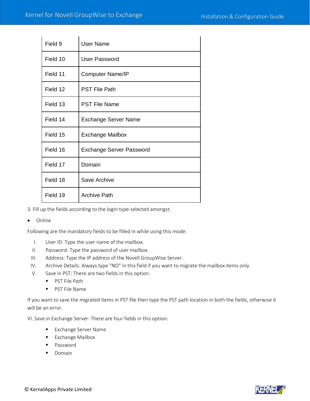$\mathbf{r}$ 

| Field 9  | <b>User Name</b>                |  |  |  |
|----------|---------------------------------|--|--|--|
| Field 10 | <b>User Password</b>            |  |  |  |
| Field 11 | <b>Computer Name/IP</b>         |  |  |  |
| Field 12 | <b>PST File Path</b>            |  |  |  |
| Field 13 | <b>PST File Name</b>            |  |  |  |
| Field 14 | <b>Exchange Server Name</b>     |  |  |  |
| Field 15 | <b>Exchange Mailbox</b>         |  |  |  |
| Field 16 | <b>Exchange Server Password</b> |  |  |  |
| Field 17 | Domain                          |  |  |  |
| Field 18 | Save Archive                    |  |  |  |
| Field 19 | <b>Archive Path</b>             |  |  |  |

- 3. Fill up the fields according to the login type selected amongst.
- Online

Following are the mandatory fields to be filled in while using this mode:

- I. User ID: Type the user name of the mailbox.
- II. Password: Type the password of user mailbox.
- III. Address: Type the IP address of the Novell GroupWise Server.
- IV. Archive Details: Always type "NO" in this field if you want to migrate the mailbox items only.
- V. Save in PST: There are two fields in this option:
	- PST File Path
	- PST File Name

If you want to save the migrated items in PST file then type the PST path location in both the fields, otherwise it will be an error.

VI. Save in Exchange Server: There are four fields in this option:

- Exchange Server Name
- Exchange Mailbox
- Password
- Domain

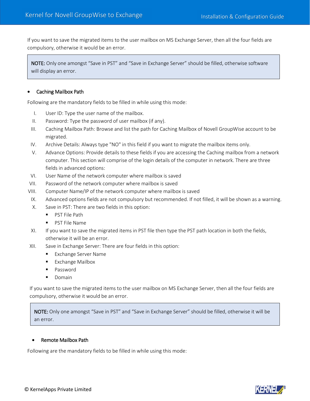If you want to save the migrated items to the user mailbox on MS Exchange Server, then all the four fields are compulsory, otherwise it would be an error.

NOTE: Only one amongst "Save in PST" and "Save in Exchange Server" should be filled, otherwise software will display an error.

## • Caching Mailbox Path

Following are the mandatory fields to be filled in while using this mode:

- I. User ID: Type the user name of the mailbox.
- II. Password: Type the password of user mailbox (if any).
- III. Caching Mailbox Path: Browse and list the path for Caching Mailbox of Novell GroupWise account to be migrated.
- IV. Archive Details: Always type "NO" in this field if you want to migrate the mailbox items only.
- V. Advance Options: Provide details to these fields if you are accessing the Caching mailbox from a network computer. This section will comprise of the login details of the computer in network. There are three fields in advanced options:
- VI. User Name of the network computer where mailbox is saved
- VII. Password of the network computer where mailbox is saved
- VIII. Computer Name/IP of the network computer where mailbox is saved
- IX. Advanced options fields are not compulsory but recommended. If not filled, it will be shown as a warning.
- X. Save in PST: There are two fields in this option:
	- PST File Path
	- PST File Name
- XI. If you want to save the migrated items in PST file then type the PST path location in both the fields, otherwise it will be an error.
- XII. Save in Exchange Server: There are four fields in this option:
	- Exchange Server Name
	- Exchange Mailbox
	- Password
	- Domain

If you want to save the migrated items to the user mailbox on MS Exchange Server, then all the four fields are compulsory, otherwise it would be an error.

NOTE: Only one amongst "Save in PST" and "Save in Exchange Server" should be filled, otherwise it will be an error.

## • Remote Mailbox Path

Following are the mandatory fields to be filled in while using this mode:

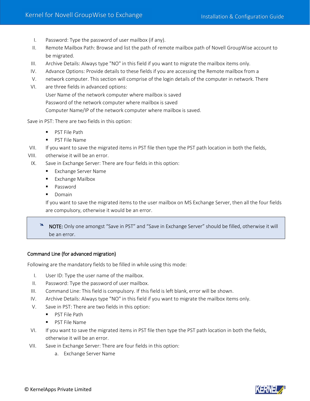- I. Password: Type the password of user mailbox (if any).
- II. Remote Mailbox Path: Browse and list the path of remote mailbox path of Novell GroupWise account to be migrated.
- III. Archive Details: Always type "NO" in this field if you want to migrate the mailbox items only.
- IV. Advance Options: Provide details to these fields if you are accessing the Remote mailbox from a
- V. network computer. This section will comprise of the login details of the computer in network. There
- VI. are three fields in advanced options: User Name of the network computer where mailbox is saved Password of the network computer where mailbox is saved Computer Name/IP of the network computer where mailbox is saved.

Save in PST: There are two fields in this option:

- PST File Path
- PST File Name
- VII. If you want to save the migrated items in PST file then type the PST path location in both the fields,
- VIII. otherwise it will be an error.
- IX. Save in Exchange Server: There are four fields in this option:
	- Exchange Server Name
	- Exchange Mailbox
	- Password
	- Domain

If you want to save the migrated items to the user mailbox on MS Exchange Server, then all the four fields are compulsory, otherwise it would be an error.

<sup>24</sup> NOTE: Only one amongst "Save in PST" and "Save in Exchange Server" should be filled, otherwise it will be an error.

## Command Line (for advanced migration)

Following are the mandatory fields to be filled in while using this mode:

- I. User ID: Type the user name of the mailbox.
- II. Password: Type the password of user mailbox.
- III. Command Line: This field is compulsory. If this field is left blank, error will be shown.
- IV. Archive Details: Always type "NO" in this field if you want to migrate the mailbox items only.
- V. Save in PST: There are two fields in this option:
	- PST File Path
	- PST File Name
- VI. If you want to save the migrated items in PST file then type the PST path location in both the fields, otherwise it will be an error.
- VII. Save in Exchange Server: There are four fields in this option:
	- a. Exchange Server Name

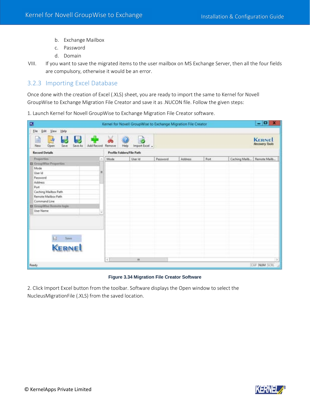- b. Exchange Mailbox
- c. Password
- d. Domain
- VIII. If you want to save the migrated items to the user mailbox on MS Exchange Server, then all the four fields are compulsory, otherwise it would be an error.

## <span id="page-41-0"></span>3.2.3 Importing Excel Database

Once done with the creation of Excel (.XLS) sheet, you are ready to import the same to Kernel for Novell GroupWise to Exchange Migration File Creator and save it as .NUCON file. Follow the given steps:

1. Launch Kernel for Novell GroupWise to Exchange Migration File Creator software.

| 國                                                                                                                                                                                                                                                     |                           |                | Kernel for Novell GroupWise to Exchange Migration File Creator |         |      | - 0<br>×                        |
|-------------------------------------------------------------------------------------------------------------------------------------------------------------------------------------------------------------------------------------------------------|---------------------------|----------------|----------------------------------------------------------------|---------|------|---------------------------------|
| Elle Edit View Help<br>Ы<br>IJ<br>수<br>a)<br>虚<br>Open<br>New<br>Save<br>Save As<br>Add Record                                                                                                                                                        | Help<br>Remove            | Import Excel . |                                                                |         |      | <b>KERNEL</b><br>Recovery Tools |
| <b>Record Details</b>                                                                                                                                                                                                                                 | Profile Folders/File Path |                |                                                                |         |      |                                 |
| Properties<br>×<br><b>El</b> GroupWise Properties<br>Mode<br>ш<br>User Id<br>Password<br>Address<br>Port<br>Caching Mailbox Path<br>Remote Mailbox Path<br>Command Line<br>El GraupWive Remote logie<br>User Name<br><b>M</b><br>U.<br>Save<br>KERNEL | Mede                      | User Id        | Password                                                       | Address | Port | Caching Mailb Remote Mailb      |
| Ready                                                                                                                                                                                                                                                 | $\vert$ (                 | $\mathbf{m}$   |                                                                |         |      | 3 <br>CAP NUM SCRL              |

## **Figure 3.34 Migration File Creator Software**

2. Click Import Excel button from the toolbar. Software displays the Open window to select the NucleusMigrationFile (.XLS) from the saved location.

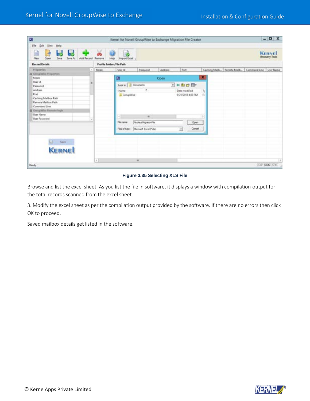| κ                                                                                                                                                                                                                    |                                  |                                                                                           |                                                                           |         | Kernel for Novell GroupWise to Exchange Migration File Creator                      |                                 |                                                        | $-0x$                                  |
|----------------------------------------------------------------------------------------------------------------------------------------------------------------------------------------------------------------------|----------------------------------|-------------------------------------------------------------------------------------------|---------------------------------------------------------------------------|---------|-------------------------------------------------------------------------------------|---------------------------------|--------------------------------------------------------|----------------------------------------|
| Ele<br>Yew Help<br>Edit                                                                                                                                                                                              |                                  |                                                                                           |                                                                           |         |                                                                                     |                                 |                                                        |                                        |
| Ь<br>Ы<br>H<br>寺<br>New<br>Open<br>Seve<br><b>Save As</b><br>Add Record                                                                                                                                              | ø<br>Help<br>Rainova             | la<br>import Excel                                                                        |                                                                           |         |                                                                                     |                                 |                                                        | <b>KERNEL</b><br><b>Aecovery Tools</b> |
| <b>Record Details</b>                                                                                                                                                                                                | <b>Profile Folders/File Path</b> |                                                                                           |                                                                           |         |                                                                                     |                                 |                                                        |                                        |
| <b>Properties</b>                                                                                                                                                                                                    | Mode                             | User ld.                                                                                  | Persword                                                                  | Address | Port                                                                                |                                 | Caching Maills Remote Maills Communid Line   User Name |                                        |
| Mode<br>User Id.<br>Patzword<br>Address<br>Port<br>Caching Malibox Path<br>Remote Mailbox Path<br>Command Line<br>El GroupWint Research Ingin.<br><b>User Name</b><br><b>User Password</b><br><b>Id</b> Ser<br>KERNE |                                  | 露<br>Leaker Cocuments<br>Name<br>L GroupWise<br>$+1$<br><b>Tie name:</b><br>Time of type: | ٠<br>$\frac{1}{2}$<br><b>Piucleut Mgraton File</b><br>Moneyt Expel (*.do) | Open    | $- + 0 = \blacksquare$<br>Date modified<br>9/21/2018 6/23 PM<br>Open<br>Cancel<br>٠ | ×.<br>$T_1$<br>$T_{\rm E}$<br>Б |                                                        |                                        |
|                                                                                                                                                                                                                      | 78                               |                                                                                           | $\frac{1}{2}$                                                             |         |                                                                                     |                                 |                                                        | $\left  \cdot \right\rangle$           |
| Ready                                                                                                                                                                                                                |                                  |                                                                                           |                                                                           |         |                                                                                     |                                 |                                                        | CAP NUM SCIL                           |

#### **Figure 3.35 Selecting XLS File**

Browse and list the excel sheet. As you list the file in software, it displays a window with compilation output for the total records scanned from the excel sheet.

3. Modify the excel sheet as per the compilation output provided by the software. If there are no errors then click OK to proceed.

Saved mailbox details get listed in the software.

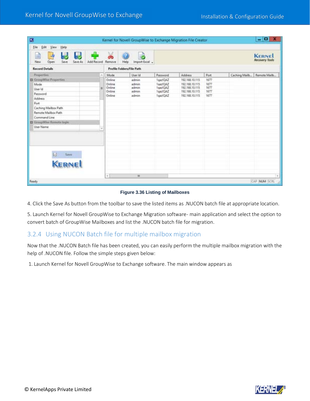| 國                                                                                                                                                                   | Kernel for Novell GroupWise to Exchange Migration File Creator                                                                                                                                                                                                                                                                                                               | $= 0 x$                         |
|---------------------------------------------------------------------------------------------------------------------------------------------------------------------|------------------------------------------------------------------------------------------------------------------------------------------------------------------------------------------------------------------------------------------------------------------------------------------------------------------------------------------------------------------------------|---------------------------------|
| Ele<br>Edit<br>View Help<br>پ<br>IJ<br>H)<br>虚<br>Save<br>Save As<br>New<br>Open<br>Add Record                                                                      | B<br>Help<br>Import Excel .<br>Remove                                                                                                                                                                                                                                                                                                                                        | <b>KERNEL</b><br>Recovery Tools |
| <b>Record Details</b>                                                                                                                                               | Profile Folders/File Path                                                                                                                                                                                                                                                                                                                                                    |                                 |
| Properties.<br>×<br><b>El</b> GroupWise Properties<br>Mode<br>User Id<br>Password<br>Address<br>Port<br>Caching Mailbox Path<br>Remote Mailbox Path<br>Command Line | Caching Mailb Remote Mailb<br>Port<br>Mode<br>User Id<br>Paizword<br>Address<br>Tour/OAZ<br>192.168.10.115<br>1677<br>Online<br>admin<br>Tour/QAZ<br>1677<br>192.168.10.115<br>admin<br>Online<br>T-pachCuk2<br>1677<br>Online<br>192.168.10.115<br>admin<br>1677<br>FeastQAZ<br>192.568.10.115<br>Online<br>admin<br>192.168.10.115<br>1677<br>figat DAZ<br>Online<br>admin |                                 |
| E GroupWier Remote login<br>User Name<br>w<br>E.<br>- Save<br>KERNE                                                                                                 | $\overline{\epsilon}$<br>m                                                                                                                                                                                                                                                                                                                                                   | $\frac{1}{2}$                   |
| Ready                                                                                                                                                               |                                                                                                                                                                                                                                                                                                                                                                              | <b>CAP NUM SCRL</b>             |

#### **Figure 3.36 Listing of Mailboxes**

4. Click the Save As button from the toolbar to save the listed items as .NUCON batch file at appropriate location.

5. Launch Kernel for Novell GroupWise to Exchange Migration software- main application and select the option to convert batch of GroupWise Mailboxes and list the .NUCON batch file for migration.

## <span id="page-43-0"></span>3.2.4 Using NUCON Batch file for multiple mailbox migration

Now that the .NUCON Batch file has been created, you can easily perform the multiple mailbox migration with the help of .NUCON file. Follow the simple steps given below:

1. Launch Kernel for Novell GroupWise to Exchange software. The main window appears as

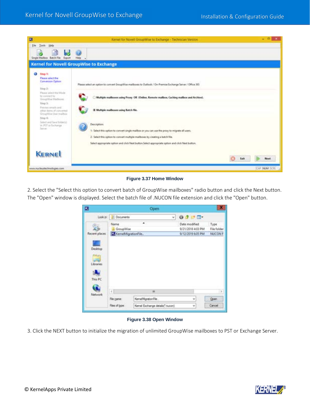

#### **Figure 3.37 Home Window**

2. Select the "Select this option to convert batch of GroupWise mailboxes" radio button and click the Next button. The "Open" window is displayed. Select the batch file of .NUCON file extension and click the "Open" button.



#### **Figure 3.38 Open Window**

3. Click the NEXT button to initialize the migration of unlimited GroupWise mailboxes to PST or Exchange Server.

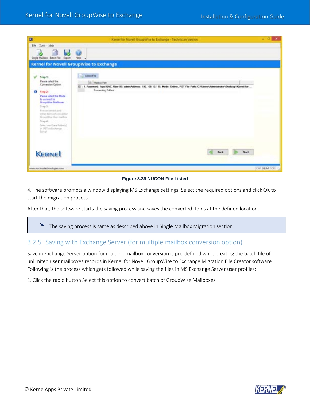| $\overline{\mathbf{u}}$ |                                                                                                                                                                                                                                                                                              | Kernel for Novell GroupWrite to Exchange - Technician Version.                                                                                                                                     | $- 0$ $20$          |
|-------------------------|----------------------------------------------------------------------------------------------------------------------------------------------------------------------------------------------------------------------------------------------------------------------------------------------|----------------------------------------------------------------------------------------------------------------------------------------------------------------------------------------------------|---------------------|
|                         | Ele Tools Help<br>Ы<br>Single Mailbox Batch File<br>Export                                                                                                                                                                                                                                   | $\bullet$<br>Help -<br><b>Kernel for Novell GroupWise to Exchange</b>                                                                                                                              |                     |
| $\bullet$               | Step 1:<br>Please selection<br>Conversion Option<br>Step 2:<br>Please select the Mode<br>to connect to:<br>GroupWine Mailboxes<br>Sing 3:<br>Fernian senate and<br>ather dams of converted<br>GroupWor User mailbox<br>Step 4<br>Salect and Save Robberlo<br>44.793 or Enthurage<br>Service. | Select File<br>D. Malkov Path<br>[2] : 1. Password: TopoNAZ, User (D; admin/ddress: 132.168.10.115. Mode: Online, PST File Path; C:V/Juers/Administrator/Desktop/Kennel for<br>Enumerating Folders |                     |
|                         | KERNEL                                                                                                                                                                                                                                                                                       | <b>Back</b><br>Next.                                                                                                                                                                               |                     |
|                         | www.nucleatechnologies.com                                                                                                                                                                                                                                                                   |                                                                                                                                                                                                    | <b>CAP NUM SCRL</b> |

#### **Figure 3.39 NUCON File Listed**

4. The software prompts a window displaying MS Exchange settings. Select the required options and click OK to start the migration process.

After that, the software starts the saving process and saves the converted items at the defined location.

**A** The saving process is same as described above in Single Mailbox Migration section.

## <span id="page-45-0"></span>3.2.5 Saving with Exchange Server (for multiple mailbox conversion option)

Save in Exchange Server option for multiple mailbox conversion is pre-defined while creating the batch file of unlimited user mailboxes records in Kernel for Novell GroupWise to Exchange Migration File Creator software. Following is the process which gets followed while saving the files in MS Exchange Server user profiles:

1. Click the radio button Select this option to convert batch of GroupWise Mailboxes.

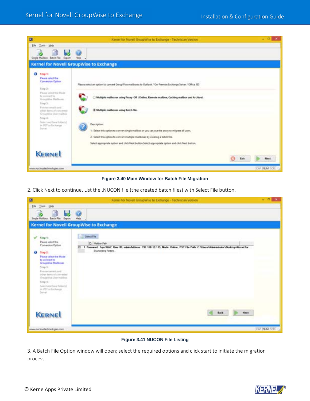

#### **Figure 3.40 Main Window for Batch File Migration**

2. Click Next to continue. List the .NUCON file (the created batch files) with Select File button.



#### **Figure 3.41 NUCON File Listing**

3. A Batch File Option window will open; select the required options and click start to initiate the migration process.

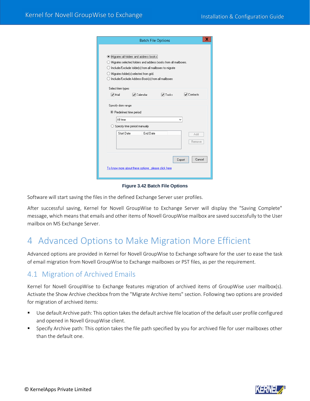| <b>Batch File Options</b>                                       |                                                     |                                  |                  |  |  |  |  |
|-----------------------------------------------------------------|-----------------------------------------------------|----------------------------------|------------------|--|--|--|--|
|                                                                 |                                                     |                                  |                  |  |  |  |  |
|                                                                 |                                                     |                                  |                  |  |  |  |  |
| Migrates all folders and address books.                         |                                                     |                                  |                  |  |  |  |  |
| Migrates selected folders and address books from all mailboxes. |                                                     |                                  |                  |  |  |  |  |
| $\,$ Include/Exclude folder(s) from all mailboxes to migrate    |                                                     |                                  |                  |  |  |  |  |
| Migrates folder[s] selected from grid.                          |                                                     |                                  |                  |  |  |  |  |
| Include/Exclude Address Book(s) from all mailboxes              |                                                     |                                  |                  |  |  |  |  |
| Select item types                                               |                                                     |                                  |                  |  |  |  |  |
| IV Mail                                                         | √ Calendar                                          | $\overline{\triangledown}$ Tasks | √ Contacts       |  |  |  |  |
|                                                                 |                                                     |                                  |                  |  |  |  |  |
| Specify date range                                              |                                                     |                                  |                  |  |  |  |  |
| ● Predefined time period<br>All time                            |                                                     |                                  |                  |  |  |  |  |
|                                                                 | Specify time period manually                        |                                  |                  |  |  |  |  |
| Start Date                                                      | <b>End Date</b>                                     |                                  |                  |  |  |  |  |
|                                                                 |                                                     |                                  | Add              |  |  |  |  |
|                                                                 |                                                     |                                  | Remove           |  |  |  |  |
|                                                                 |                                                     |                                  |                  |  |  |  |  |
|                                                                 |                                                     |                                  |                  |  |  |  |  |
|                                                                 |                                                     |                                  | Cancel<br>Export |  |  |  |  |
|                                                                 |                                                     |                                  |                  |  |  |  |  |
|                                                                 | To know more about these optione, please click here |                                  |                  |  |  |  |  |

**Figure 3.42 Batch File Options**

Software will start saving the files in the defined Exchange Server user profiles.

After successful saving, Kernel for Novell GroupWise to Exchange Server will display the "Saving Complete" message, which means that emails and other items of Novell GroupWise mailbox are saved successfully to the User mailbox on MS Exchange Server.

## <span id="page-47-0"></span>4 Advanced Options to Make Migration More Efficient

Advanced options are provided in Kernel for Novell GroupWise to Exchange software for the user to ease the task of email migration from Novell GroupWise to Exchange mailboxes or PST files, as per the requirement.

## <span id="page-47-1"></span>4.1 Migration of Archived Emails

Kernel for Novell GroupWise to Exchange features migration of archived items of GroupWise user mailbox(s). Activate the Show Archive checkbox from the "Migrate Archive items" section. Following two options are provided for migration of archived items:

- Use default Archive path: This option takes the default archive file location of the default user profile configured and opened in Novell GroupWise client.
- **•** Specify Archive path: This option takes the file path specified by you for archived file for user mailboxes other than the default one.

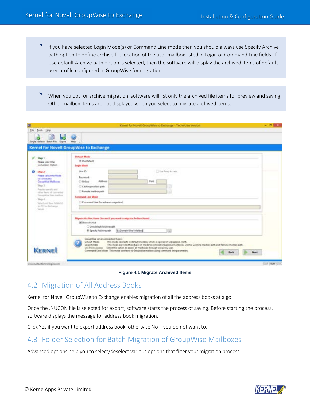<sup>24</sup> If you have selected Login Mode(s) or Command Line mode then you should always use Specify Archive path option to define archive file location of the user mailbox listed in Login or Command Line fields. If Use default Archive path option is selected, then the software will display the archived items of default user profile configured in GroupWise for migration.

When you opt for archive migration, software will list only the archived file items for preview and saving. Other mailbox items are not displayed when you select to migrate archived items.

| Single Mailbox Batch File Export                                                                                                                                    | Help a<br><b>Kernel for Novell GroupWise to Exchange</b>                                                                                                                                                                                                                                                                                                                                                                                                                                                |  |  |
|---------------------------------------------------------------------------------------------------------------------------------------------------------------------|---------------------------------------------------------------------------------------------------------------------------------------------------------------------------------------------------------------------------------------------------------------------------------------------------------------------------------------------------------------------------------------------------------------------------------------------------------------------------------------------------------|--|--|
| Ship 1:<br>Please solar! the<br>Conversion Option<br>o<br>Step 2:<br>Please select the Mode<br><b>In connect to</b><br><b>Group Was Marketers</b>                   | <b>Default Mode</b><br>W Use Default<br><b>Logic Mode</b><br>Use Prony Access<br>User Dr.<br><b>Fassworth</b><br>Address<br>Park<br>C Dolow                                                                                                                                                                                                                                                                                                                                                             |  |  |
| Tanja 31<br>Preview preside avid-<br>citize davis of concerted.<br>Denspritus Date tradicts<br>Strip 4:<br>Senior and Leve Asteketic<br>in PST or Eschange<br>Sanah | C Caching mailbox path.<br>C Remote mailbox path.<br><b>Commund Line Mode</b><br>C Contenant/Line For advance migration).                                                                                                                                                                                                                                                                                                                                                                               |  |  |
|                                                                                                                                                                     | Migrate Archive Remo Do case if you want to migrate Archive Henni!<br>P Show Anchore<br>O One default Archive path<br>E1Demain(User)Mallios<br>Ill Specify Archive path<br>$\left  \right $                                                                                                                                                                                                                                                                                                             |  |  |
| KERNEL                                                                                                                                                              | GroupWise server connection types-<br>Datault Mode:<br>This mede connects to default melbox, which is opened in GroupWise client.<br>This mode provides three types of mode to connect GroupWise mailboxes. Online, Caching mailbox path and Remote mailbox path.<br>Login Model<br>Use Proxy Access - Select this eption to access all mailboxes through one proxy uses.<br>Command Line house 1944 mode committees GroupWae mailline using conversed line parameters.<br><b>Rimski</b><br><b>Back</b> |  |  |

#### **Figure 4.1 Migrate Archived Items**

## <span id="page-48-0"></span>4.2 Migration of All Address Books

Kernel for Novell GroupWise to Exchange enables migration of all the address books at a go.

Once the .NUCON file is selected for export, software starts the process of saving. Before starting the process, software displays the message for address book migration.

Click Yes if you want to export address book, otherwise No if you do not want to.

## <span id="page-48-1"></span>4.3 Folder Selection for Batch Migration of GroupWise Mailboxes

Advanced options help you to select/deselect various options that filter your migration process.

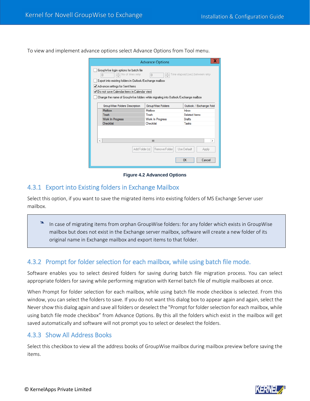To view and implement advance options select Advance Options from Tool menu.

| x<br><b>Advance Options</b>                                                        |                                                                                                   |                         |  |  |  |  |  |  |  |
|------------------------------------------------------------------------------------|---------------------------------------------------------------------------------------------------|-------------------------|--|--|--|--|--|--|--|
| GroupWise login options for batch file<br>스   No of times retry<br>0               | Time elapsed (sec) between retry<br>0<br>Export into existing folders in Outlook/Exchange mailbox |                         |  |  |  |  |  |  |  |
| ✔ Advance settings for Sent Items                                                  |                                                                                                   |                         |  |  |  |  |  |  |  |
| √ Do not save Calendar items in Calendar view                                      |                                                                                                   |                         |  |  |  |  |  |  |  |
| Change the name of GroupWise folders while migrating into Outlook/Exchange mailbox |                                                                                                   |                         |  |  |  |  |  |  |  |
| GroupWise Folders Description                                                      | GroupWise Folders                                                                                 | Outlook / Exchange Fold |  |  |  |  |  |  |  |
| Mailbox                                                                            | Mailbox                                                                                           | Inbox                   |  |  |  |  |  |  |  |
| Trash                                                                              | Trash                                                                                             | Deleted Items           |  |  |  |  |  |  |  |
| Work In Progress                                                                   | Work In Progress                                                                                  | Drafts                  |  |  |  |  |  |  |  |
| Checklist                                                                          | Checklist                                                                                         | <b>Tasks</b>            |  |  |  |  |  |  |  |
| ≺<br>Ш<br>$\rightarrow$                                                            |                                                                                                   |                         |  |  |  |  |  |  |  |
| Remove Folder<br>Use Default<br>Add Folder [s]<br>Apply                            |                                                                                                   |                         |  |  |  |  |  |  |  |
| ΠK.<br>Cancel                                                                      |                                                                                                   |                         |  |  |  |  |  |  |  |

**Figure 4.2 Advanced Options**

## <span id="page-49-0"></span>4.3.1 Export into Existing folders in Exchange Mailbox

Select this option, if you want to save the migrated items into existing folders of MS Exchange Server user mailbox.

**A** In case of migrating items from orphan GroupWise folders: for any folder which exists in GroupWise mailbox but does not exist in the Exchange server mailbox, software will create a new folder of its original name in Exchange mailbox and export items to that folder.

## <span id="page-49-1"></span>4.3.2 Prompt for folder selection for each mailbox, while using batch file mode.

Software enables you to select desired folders for saving during batch file migration process. You can select appropriate folders for saving while performing migration with Kernel batch file of multiple mailboxes at once.

When Prompt for folder selection for each mailbox, while using batch file mode checkbox is selected. From this window, you can select the folders to save. If you do not want this dialog box to appear again and again, select the Never show this dialog again and save all folders or deselect the "Prompt for folder selection for each mailbox, while using batch file mode checkbox" from Advance Options. By this all the folders which exist in the mailbox will get saved automatically and software will not prompt you to select or deselect the folders.

## <span id="page-49-2"></span>4.3.3 Show All Address Books

Select this checkbox to view all the address books of GroupWise mailbox during mailbox preview before saving the items.

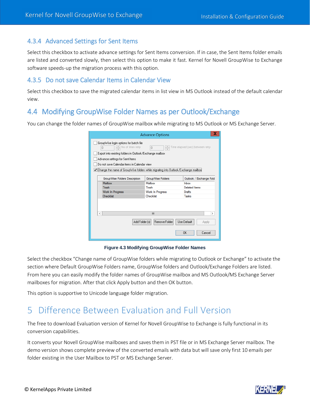## <span id="page-50-0"></span>4.3.4 Advanced Settings for Sent Items

Select this checkbox to activate advance settings for Sent Items conversion. If in case, the Sent Items folder emails are listed and converted slowly, then select this option to make it fast. Kernel for Novell GroupWise to Exchange software speeds-up the migration process with this option.

## <span id="page-50-1"></span>4.3.5 Do not save Calendar Items in Calendar View

Select this checkbox to save the migrated calendar items in list view in MS Outlook instead of the default calendar view.

## <span id="page-50-2"></span>4.4 Modifying GroupWise Folder Names as per Outlook/Exchange

You can change the folder names of GroupWise mailbox while migrating to MS Outlook or MS Exchange Server.

| <b>Advance Options</b>                                                                                                                                                                                                                                                                                                                                                 |                                                                         |                                                                                    |  |  |  |  |
|------------------------------------------------------------------------------------------------------------------------------------------------------------------------------------------------------------------------------------------------------------------------------------------------------------------------------------------------------------------------|-------------------------------------------------------------------------|------------------------------------------------------------------------------------|--|--|--|--|
| GroupWise login options for batch file<br>Time elapsed (sec) between retry<br>스 No of times retry<br>$\frac{A}{M}$<br>$\cap$<br>n<br>Export into existing folders in Outlook/Exchange mailbox<br>Advance settings for Sent Items<br>Do not save Calendar items in Calendar view.<br>Change the name of GroupWise folders while migrating into Outlook/Exchange mailbox |                                                                         |                                                                                    |  |  |  |  |
| GroupWise Folders Description<br>Mailbox<br>Trash<br>Work In Progress<br>Checklist                                                                                                                                                                                                                                                                                     | Group Wise Folders<br>Mailbox<br>Trash<br>Work In Progress<br>Checklist | Outlook / Exchange Fold<br><b>Inbox</b><br>Deleted Items<br>Drafts<br><b>Tasks</b> |  |  |  |  |
| Ш<br>≺<br>><br>Use Default<br>Add Folder [s]<br><b>Remove Folder</b><br>Apply<br>OK<br>Cancel                                                                                                                                                                                                                                                                          |                                                                         |                                                                                    |  |  |  |  |

**Figure 4.3 Modifying GroupWise Folder Names**

Select the checkbox "Change name of GroupWise folders while migrating to Outlook or Exchange" to activate the section where Default GroupWise Folders name, GroupWise folders and Outlook/Exchange Folders are listed. From here you can easily modify the folder names of GroupWise mailbox and MS Outlook/MS Exchange Server mailboxes for migration. After that click Apply button and then OK button.

This option is supportive to Unicode language folder migration.

## <span id="page-50-3"></span>5 Difference Between Evaluation and Full Version

The free to download Evaluation version of Kernel for Novell GroupWise to Exchange is fully functional in its conversion capabilities.

It converts your Novell GroupWise mailboxes and saves them in PST file or in MS Exchange Server mailbox. The demo version shows complete preview of the converted emails with data but will save only first 10 emails per folder existing in the User Mailbox to PST or MS Exchange Server.

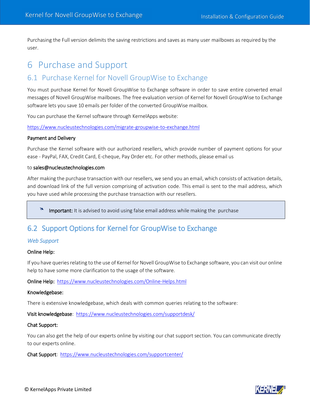Purchasing the Full version delimits the saving restrictions and saves as many user mailboxes as required by the user.

## <span id="page-51-0"></span>6 Purchase and Support

## <span id="page-51-1"></span>6.1 Purchase Kernel for Novell GroupWise to Exchange

You must purchase Kernel for Novell GroupWise to Exchange software in order to save entire converted email messages of Novell GroupWise mailboxes. The free evaluation version of Kernel for Novell GroupWise to Exchange software lets you save 10 emails per folder of the converted GroupWise mailbox.

You can purchase the Kernel software through KernelApps website:

<https://www.nucleustechnologies.com/migrate-groupwise-to-exchange.html>

## Payment and Delivery

Purchase the Kernel software with our authorized resellers, which provide number of payment options for your ease - PayPal, FAX, Credit Card, E-cheque, Pay Order etc. For other methods, please email us

#### to sales@nucleustechnologies.com

After making the purchase transaction with our resellers, we send you an email, which consists of activation details, and download link of the full version comprising of activation code. This email is sent to the mail address, which you have used while processing the purchase transaction with our resellers.

**Important:** It is advised to avoid using false email address while making the purchase

## <span id="page-51-2"></span>6.2 Support Options for Kernel for GroupWise to Exchange

## *Web Support*

## Online Help:

If you have queries relating to the use of Kernel for Novell GroupWise to Exchange software, you can visit our online help to have some more clarification to the usage of the software.

Online Help:<https://www.nucleustechnologies.com/Online-Helps.html>

## Knowledgebase:

There is extensive knowledgebase, which deals with common queries relating to the software:

Visit knowledgebase:<https://www.nucleustechnologies.com/supportdesk/>

## Chat Support:

You can also get the help of our experts online by visiting our chat support section. You can communicate directly to our experts online.

Chat Support: <https://www.nucleustechnologies.com/supportcenter/>

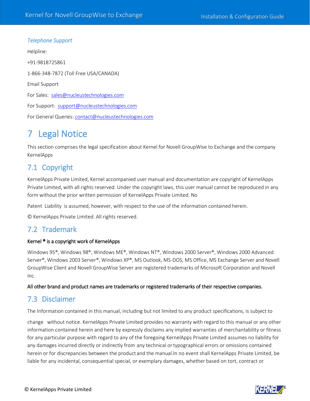## *Telephone Support*

Helpline: +91-9818725861 1-866-348-7872 (Toll Free USA/CANADA) Email Support For Sales: [sales@nucleustechnologies.com](mailto:sales@nucleustechnologies.com) For Support: [support@nucleustechnologies.com](mailto:support@nucleustechnologies.com) For General Queries: [contact@nucleustechnologies.com](mailto:contact@nucleustechnologies.com)

## <span id="page-52-0"></span>7 Legal Notice

This section comprises the legal specification about Kernel for Novell GroupWise to Exchange and the company KernelApps

## <span id="page-52-1"></span>7.1 Copyright

KernelApps Private Limited, Kernel accompanied user manual and documentation are copyright of KernelApps Private Limited, with all rights reserved. Under the copyright laws, this user manual cannot be reproduced in any form without the prior written permission of KernelApps Private Limited. No

Patent Liability is assumed, however, with respect to the use of the information contained herein.

© KernelApps Private Limited. All rights reserved.

## <span id="page-52-2"></span>7.2 Trademark

## Kernel ® is a copyright work of KernelApps

Windows 95®, Windows 98®, Windows ME®, Windows NT®, Windows 2000 Server®, Windows 2000 Advanced Server®, Windows 2003 Server®, Windows XP®, MS Outlook, MS-DOS, MS Office, MS Exchange Server and Novell GroupWise Client and Novell GroupWise Server are registered trademarks of Microsoft Corporation and Novell Inc.

## All other brand and product names are trademarks or registered trademarks of their respective companies.

## <span id="page-52-3"></span>7.3 Disclaimer

The Information contained in this manual, including but not limited to any product specifications, is subject to

change without notice. KernelApps Private Limited provides no warranty with regard to this manual or any other information contained herein and here by expressly disclaims any implied warranties of merchantability or fitness for any particular purpose with regard to any of the foregoing KernelApps Private Limited assumes no liability for any damages incurred directly or indirectly from any technical ortypographical errors or omissions contained herein or for discrepancies between the product and the manual.In no event shall KernelApps Private Limited, be liable for any incidental, consequential special, or exemplary damages, whether based on tort, contract or

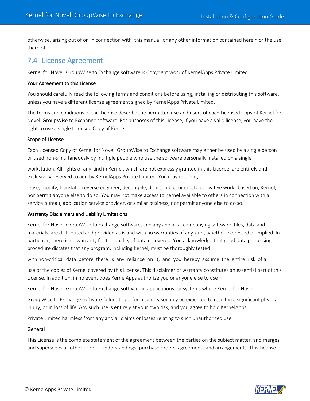otherwise, arising out of or in connection with this manual or any other information contained herein or the use there of.

## <span id="page-53-0"></span>7.4 License Agreement

Kernel for Novell GroupWise to Exchange software is Copyright work of KernelApps Private Limited.

## Your Agreement to this License

You should carefully read the following terms and conditions before using, installing or distributing this software, unless you have a different license agreement signed by KernelApps Private Limited.

The terms and conditions of this License describe the permitted use and users of each Licensed Copy of Kernel for Novell GroupWise to Exchange software. For purposes of this License, if you have a valid license, you have the right to use a single Licensed Copy of Kernel.

## Scope of License

Each Licensed Copy of Kernel for Novell GroupWise to Exchange software may either be used by a single person or used non-simultaneously by multiple people who use the software personally installed on a single

workstation. All rights of any kind in Kernel, which are not expressly granted in this License, are entirely and exclusively reserved to and by KernelApps Private Limited. You may not rent,

lease, modify, translate, reverse engineer, decompile, disassemble, or create derivative works based on, Kernel, nor permit anyone else to do so. You may not make access to Kernel available to others in connection with a service bureau, application service provider, or similar business, nor permit anyone else to do so.

## Warranty Disclaimers and Liability Limitations

Kernel for Novell GroupWise to Exchange software, and any and all accompanying software, files, data and materials, are distributed and provided as is and with no warranties of any kind, whether expressed or implied. In particular, there is no warranty for the quality of data recovered. You acknowledge that good data processing procedure dictates that any program, including Kernel, must be thoroughly tested

with non-critical data before there is any reliance on it, and you hereby assume the entire risk of all

use of the copies of Kernel covered by this License. This disclaimer of warranty constitutes an essential part of this License. In addition, in no event does KernelApps authorize you or anyone else to use

Kernel for Novell GroupWise to Exchange software in applications or systems where Kernel for Novell

GroupWise to Exchange software failure to perform can reasonably be expected to result in a significant physical injury, or in loss of life. Any such use is entirely at your own risk, and you agree to hold KernelApps

Private Limited harmless from any and all claims or losses relating to such unauthorized use.

## General

This License is the complete statement of the agreement between the parties on the subject matter, and merges and supersedes all other or prior understandings, purchase orders, agreements and arrangements. This License